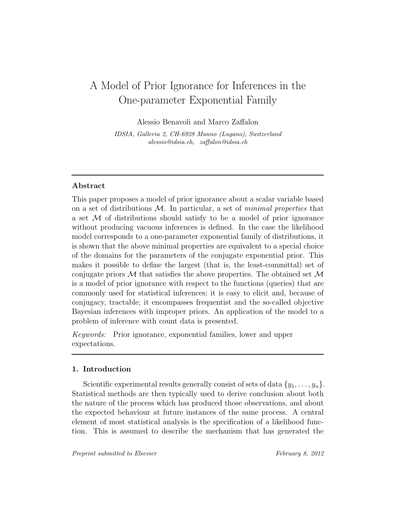# A Model of Prior Ignorance for Inferences in the One-parameter Exponential Family

Alessio Benavoli and Marco Zaffalon

IDSIA, Galleria 2, CH-6928 Manno (Lugano), Switzerland alessio@idsia.ch, zaffalon@idsia.ch

## Abstract

This paper proposes a model of prior ignorance about a scalar variable based on a set of distributions  $M$ . In particular, a set of *minimal properties* that a set  $\mathcal M$  of distributions should satisfy to be a model of prior ignorance without producing vacuous inferences is defined. In the case the likelihood model corresponds to a one-parameter exponential family of distributions, it is shown that the above minimal properties are equivalent to a special choice of the domains for the parameters of the conjugate exponential prior. This makes it possible to define the largest (that is, the least-committal) set of conjugate priors  $M$  that satisfies the above properties. The obtained set  $M$ is a model of prior ignorance with respect to the functions (queries) that are commonly used for statistical inferences; it is easy to elicit and, because of conjugacy, tractable; it encompasses frequentist and the so-called objective Bayesian inferences with improper priors. An application of the model to a problem of inference with count data is presented.

Keywords: Prior ignorance, exponential families, lower and upper expectations.

## 1. Introduction

Scientific experimental results generally consist of sets of data  $\{y_1, \ldots, y_n\}.$ Statistical methods are then typically used to derive conclusion about both the nature of the process which has produced those observations, and about the expected behaviour at future instances of the same process. A central element of most statistical analysis is the specification of a likelihood function. This is assumed to describe the mechanism that has generated the

Preprint submitted to Elsevier February 8, 2012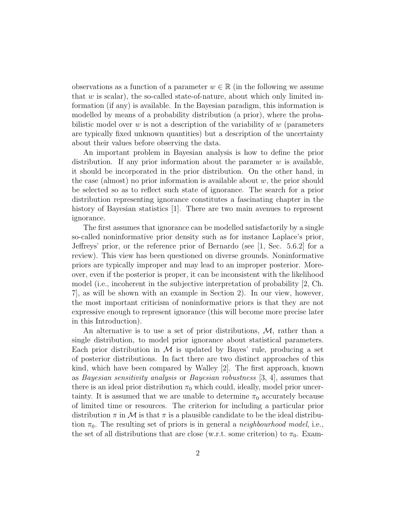observations as a function of a parameter  $w \in \mathbb{R}$  (in the following we assume that  $w$  is scalar), the so-called state-of-nature, about which only limited information (if any) is available. In the Bayesian paradigm, this information is modelled by means of a probability distribution (a prior), where the probabilistic model over  $w$  is not a description of the variability of  $w$  (parameters are typically fixed unknown quantities) but a description of the uncertainty about their values before observing the data.

An important problem in Bayesian analysis is how to define the prior distribution. If any prior information about the parameter  $w$  is available, it should be incorporated in the prior distribution. On the other hand, in the case (almost) no prior information is available about  $w$ , the prior should be selected so as to reflect such state of ignorance. The search for a prior distribution representing ignorance constitutes a fascinating chapter in the history of Bayesian statistics [1]. There are two main avenues to represent ignorance.

The first assumes that ignorance can be modelled satisfactorily by a single so-called noninformative prior density such as for instance Laplace's prior, Jeffreys' prior, or the reference prior of Bernardo (see [1, Sec. 5.6.2] for a review). This view has been questioned on diverse grounds. Noninformative priors are typically improper and may lead to an improper posterior. Moreover, even if the posterior is proper, it can be inconsistent with the likelihood model (i.e., incoherent in the subjective interpretation of probability [2, Ch. 7], as will be shown with an example in Section 2). In our view, however, the most important criticism of noninformative priors is that they are not expressive enough to represent ignorance (this will become more precise later in this Introduction).

An alternative is to use a set of prior distributions,  $M$ , rather than a single distribution, to model prior ignorance about statistical parameters. Each prior distribution in  $M$  is updated by Bayes' rule, producing a set of posterior distributions. In fact there are two distinct approaches of this kind, which have been compared by Walley [2]. The first approach, known as Bayesian sensitivity analysis or Bayesian robustness [3, 4], assumes that there is an ideal prior distribution  $\pi_0$  which could, ideally, model prior uncertainty. It is assumed that we are unable to determine  $\pi_0$  accurately because of limited time or resources. The criterion for including a particular prior distribution  $\pi$  in M is that  $\pi$  is a plausible candidate to be the ideal distribution  $\pi_0$ . The resulting set of priors is in general a *neighbourhood model*, i.e., the set of all distributions that are close (w.r.t. some criterion) to  $\pi_0$ . Exam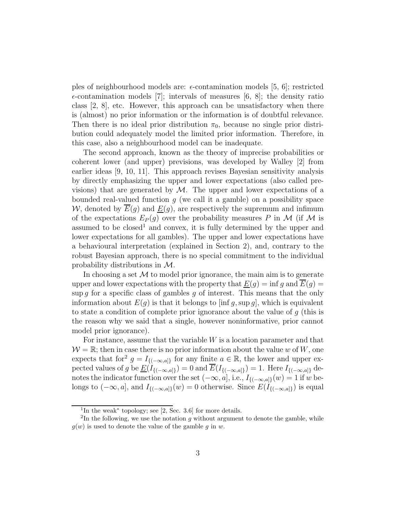ples of neighbourhood models are:  $\epsilon$ -contamination models [5, 6]; restricted  $\epsilon$ -contamination models [7]; intervals of measures [6, 8]; the density ratio class [2, 8], etc. However, this approach can be unsatisfactory when there is (almost) no prior information or the information is of doubtful relevance. Then there is no ideal prior distribution  $\pi_0$ , because no single prior distribution could adequately model the limited prior information. Therefore, in this case, also a neighbourhood model can be inadequate.

The second approach, known as the theory of imprecise probabilities or coherent lower (and upper) previsions, was developed by Walley [2] from earlier ideas [9, 10, 11]. This approach revises Bayesian sensitivity analysis by directly emphasizing the upper and lower expectations (also called previsions) that are generated by  $\mathcal{M}$ . The upper and lower expectations of a bounded real-valued function  $g$  (we call it a gamble) on a possibility space W, denoted by  $\overline{E}(g)$  and  $E(g)$ , are respectively the supremum and infimum of the expectations  $E_P(q)$  over the probability measures P in M (if M is assumed to be closed<sup>1</sup> and convex, it is fully determined by the upper and lower expectations for all gambles). The upper and lower expectations have a behavioural interpretation (explained in Section 2), and, contrary to the robust Bayesian approach, there is no special commitment to the individual probability distributions in M.

In choosing a set  $M$  to model prior ignorance, the main aim is to generate upper and lower expectations with the property that  $\underline{E}(g) = \inf g$  and  $E(g) =$ sup q for a specific class of gambles q of interest. This means that the only information about  $E(q)$  is that it belongs to [inf q, sup q], which is equivalent to state a condition of complete prior ignorance about the value of g (this is the reason why we said that a single, however noninformative, prior cannot model prior ignorance).

For instance, assume that the variable  $W$  is a location parameter and that  $W = \mathbb{R}$ ; then in case there is no prior information about the value w of W, one expects that for<sup>2</sup>  $g = I_{\{(-\infty,a]\}}$  for any finite  $a \in \mathbb{R}$ , the lower and upper expected values of g be  $\underline{E}(\overline{I_{\{(-\infty,a]\}}}) = 0$  and  $\overline{E}(I_{\{(-\infty,a]\}}) = 1$ . Here  $I_{\{(-\infty,a]\}}$  denotes the indicator function over the set  $(-\infty, a]$ , i.e.,  $I_{\{(-\infty, a]\}}(w) = 1$  if w belongs to  $(-\infty, a]$ , and  $I_{\{(-\infty, a]\}}(w) = 0$  otherwise. Since  $E(I_{\{(-\infty, a]\}})$  is equal

<sup>1</sup> In the weak<sup>∗</sup> topology; see [2, Sec. 3.6] for more details.

 $2$ In the following, we use the notation g without argument to denote the gamble, while  $q(w)$  is used to denote the value of the gamble q in w.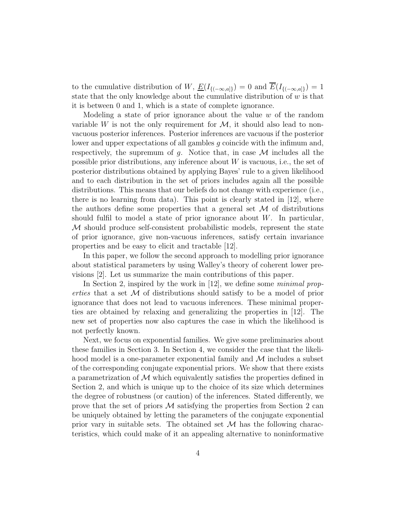to the cumulative distribution of W,  $\underline{E}(I_{\{(-\infty,a]\}}) = 0$  and  $\overline{E}(I_{\{(-\infty,a]\}}) = 1$ state that the only knowledge about the cumulative distribution of  $w$  is that it is between 0 and 1, which is a state of complete ignorance.

Modeling a state of prior ignorance about the value  $w$  of the random variable W is not the only requirement for  $\mathcal{M}$ , it should also lead to nonvacuous posterior inferences. Posterior inferences are vacuous if the posterior lower and upper expectations of all gambles g coincide with the infimum and, respectively, the supremum of g. Notice that, in case  $\mathcal M$  includes all the possible prior distributions, any inference about  $W$  is vacuous, i.e., the set of posterior distributions obtained by applying Bayes' rule to a given likelihood and to each distribution in the set of priors includes again all the possible distributions. This means that our beliefs do not change with experience (i.e., there is no learning from data). This point is clearly stated in [12], where the authors define some properties that a general set  $\mathcal M$  of distributions should fulfil to model a state of prior ignorance about  $W$ . In particular, M should produce self-consistent probabilistic models, represent the state of prior ignorance, give non-vacuous inferences, satisfy certain invariance properties and be easy to elicit and tractable [12].

In this paper, we follow the second approach to modelling prior ignorance about statistical parameters by using Walley's theory of coherent lower previsions [2]. Let us summarize the main contributions of this paper.

In Section 2, inspired by the work in [12], we define some *minimal prop*erties that a set  $\mathcal M$  of distributions should satisfy to be a model of prior ignorance that does not lead to vacuous inferences. These minimal properties are obtained by relaxing and generalizing the properties in [12]. The new set of properties now also captures the case in which the likelihood is not perfectly known.

Next, we focus on exponential families. We give some preliminaries about these families in Section 3. In Section 4, we consider the case that the likelihood model is a one-parameter exponential family and  $\mathcal M$  includes a subset of the corresponding conjugate exponential priors. We show that there exists a parametrization of  $\mathcal M$  which equivalently satisfies the properties defined in Section 2, and which is unique up to the choice of its size which determines the degree of robustness (or caution) of the inferences. Stated differently, we prove that the set of priors  $\mathcal M$  satisfying the properties from Section 2 can be uniquely obtained by letting the parameters of the conjugate exponential prior vary in suitable sets. The obtained set  $M$  has the following characteristics, which could make of it an appealing alternative to noninformative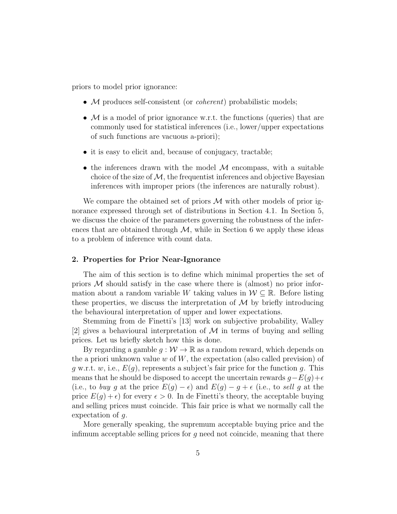priors to model prior ignorance:

- M produces self-consistent (or *coherent*) probabilistic models;
- $M$  is a model of prior ignorance w.r.t. the functions (queries) that are commonly used for statistical inferences (i.e., lower/upper expectations of such functions are vacuous a-priori);
- it is easy to elicit and, because of conjugacy, tractable;
- the inferences drawn with the model  $M$  encompass, with a suitable choice of the size of  $\mathcal{M}$ , the frequentist inferences and objective Bayesian inferences with improper priors (the inferences are naturally robust).

We compare the obtained set of priors  $M$  with other models of prior ignorance expressed through set of distributions in Section 4.1. In Section 5, we discuss the choice of the parameters governing the robustness of the inferences that are obtained through  $M$ , while in Section 6 we apply these ideas to a problem of inference with count data.

## 2. Properties for Prior Near-Ignorance

The aim of this section is to define which minimal properties the set of priors  $M$  should satisfy in the case where there is (almost) no prior information about a random variable W taking values in  $W \subseteq \mathbb{R}$ . Before listing these properties, we discuss the interpretation of  $\mathcal M$  by briefly introducing the behavioural interpretation of upper and lower expectations.

Stemming from de Finetti's [13] work on subjective probability, Walley [2] gives a behavioural interpretation of  $\mathcal M$  in terms of buying and selling prices. Let us briefly sketch how this is done.

By regarding a gamble  $g: \mathcal{W} \to \mathbb{R}$  as a random reward, which depends on the a priori unknown value  $w$  of  $W$ , the expectation (also called prevision) of q w.r.t. w, i.e.,  $E(q)$ , represents a subject's fair price for the function q. This means that he should be disposed to accept the uncertain rewards  $g-E(g)+\epsilon$ (i.e., to buy g at the price  $E(g) - \epsilon$ ) and  $E(g) - g + \epsilon$  (i.e., to sell g at the price  $E(q) + \epsilon$  for every  $\epsilon > 0$ . In de Finetti's theory, the acceptable buying and selling prices must coincide. This fair price is what we normally call the expectation of g.

More generally speaking, the supremum acceptable buying price and the infimum acceptable selling prices for  $q$  need not coincide, meaning that there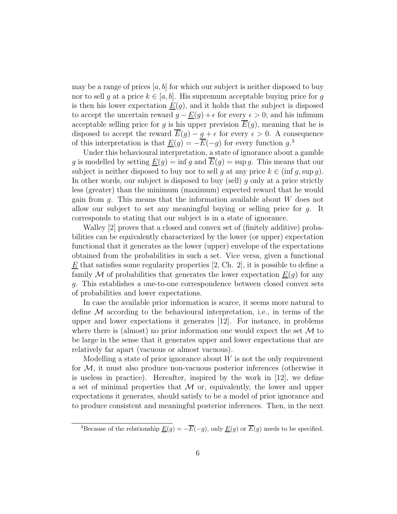may be a range of prices  $[a, b]$  for which our subject is neither disposed to buy nor to sell g at a price  $k \in [a, b]$ . His supremum acceptable buying price for g is then his lower expectation  $E(g)$ , and it holds that the subject is disposed to accept the uncertain reward  $g - \underline{E}(g) + \epsilon$  for every  $\epsilon > 0$ ; and his infimum acceptable selling price for g is his upper prevision  $\overline{E}(g)$ , meaning that he is disposed to accept the reward  $\overline{E}(g) - g + \epsilon$  for every  $\epsilon > 0$ . A consequence of this interpretation is that  $\underline{E}(g) = -\overline{E}(-g)$  for every function  $g^3$ .

Under this behavioural interpretation, a state of ignorance about a gamble g is modelled by setting  $\underline{E}(q) = \inf q$  and  $\overline{E}(q) = \sup q$ . This means that our subject is neither disposed to buy nor to sell g at any price  $k \in (\inf g, \sup g)$ . In other words, our subject is disposed to buy (sell)  $g$  only at a price strictly less (greater) than the minimum (maximum) expected reward that he would gain from  $g$ . This means that the information available about  $W$  does not allow our subject to set any meaningful buying or selling price for g. It corresponds to stating that our subject is in a state of ignorance.

Walley [2] proves that a closed and convex set of (finitely additive) probabilities can be equivalently characterized by the lower (or upper) expectation functional that it generates as the lower (upper) envelope of the expectations obtained from the probabilities in such a set. Vice versa, given a functional  $E$  that satisfies some regularity properties  $[2, Ch. 2]$ , it is possible to define a family M of probabilities that generates the lower expectation  $\underline{E}(q)$  for any g. This establishes a one-to-one correspondence between closed convex sets of probabilities and lower expectations.

In case the available prior information is scarce, it seems more natural to define  $M$  according to the behavioural interpretation, i.e., in terms of the upper and lower expectations it generates [12]. For instance, in problems where there is (almost) no prior information one would expect the set  $\mathcal M$  to be large in the sense that it generates upper and lower expectations that are relatively far apart (vacuous or almost vacuous).

Modelling a state of prior ignorance about  $W$  is not the only requirement for  $M$ , it must also produce non-vacuous posterior inferences (otherwise it is useless in practice). Hereafter, inspired by the work in  $[12]$ , we define a set of minimal properties that  $M$  or, equivalently, the lower and upper expectations it generates, should satisfy to be a model of prior ignorance and to produce consistent and meaningful posterior inferences. Then, in the next

<sup>&</sup>lt;sup>3</sup>Because of the relationship  $\underline{E}(g) = -\overline{E}(-g)$ , only  $\underline{E}(g)$  or  $\overline{E}(g)$  needs to be specified.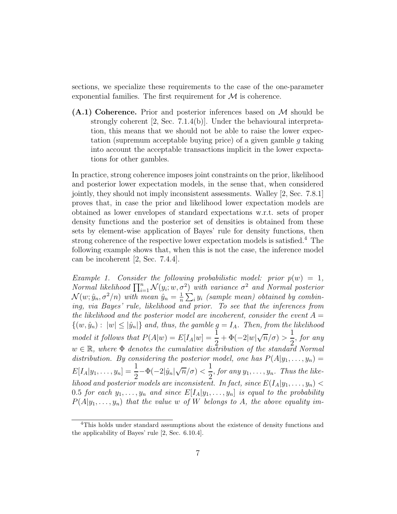sections, we specialize these requirements to the case of the one-parameter exponential families. The first requirement for  $\mathcal M$  is coherence.

 $(A.1)$  Coherence. Prior and posterior inferences based on M should be strongly coherent [2, Sec. 7.1.4(b)]. Under the behavioural interpretation, this means that we should not be able to raise the lower expectation (supremum acceptable buying price) of a given gamble q taking into account the acceptable transactions implicit in the lower expectations for other gambles.

In practice, strong coherence imposes joint constraints on the prior, likelihood and posterior lower expectation models, in the sense that, when considered jointly, they should not imply inconsistent assessments. Walley [2, Sec. 7.8.1] proves that, in case the prior and likelihood lower expectation models are obtained as lower envelopes of standard expectations w.r.t. sets of proper density functions and the posterior set of densities is obtained from these sets by element-wise application of Bayes' rule for density functions, then strong coherence of the respective lower expectation models is satisfied.<sup>4</sup> The following example shows that, when this is not the case, the inference model can be incoherent [2, Sec. 7.4.4].

Example 1. Consider the following probabilistic model: prior  $p(w) = 1$ , Normal likelihood  $\prod_{i=1}^{n} \mathcal{N}(y_i; w, \sigma^2)$  with variance  $\sigma^2$  and Normal posterior  $\mathcal{N}(w; \hat{y}_n, \sigma^2/n)$  with mean  $\hat{y}_n = \frac{1}{n}$  $\frac{1}{n}\sum_i y_i$  (sample mean) obtained by combining, via Bayes' rule, likelihood and prior. To see that the inferences from the likelihood and the posterior model are incoherent, consider the event  $A =$  ${(w, \hat{y}_n): |w| \leq |\hat{y}_n|}$  and, thus, the gamble  $g = I_A$ . Then, from the likelihood model it follows that  $P(A|w) = E[I_A|w] = \frac{1}{2} + \Phi(-2|w|\sqrt{n}/\sigma) >$ 1 2 , for any  $w \in \mathbb{R}$ , where  $\Phi$  denotes the cumulative distribution of the standard Normal distribution. By considering the posterior model, one has  $P(A|y_1, \ldots, y_n) =$  $E[I_A|y_1,\ldots,y_n]=\frac{1}{2}-\Phi(-2|\hat{y}_n|\sqrt{n}/\sigma)<\infty$ 1  $\frac{1}{2}$ , for any  $y_1, \ldots, y_n$ . Thus the likelihood and posterior models are inconsistent. In fact, since  $E(I_A|y_1,\ldots,y_n)$  < 0.5 for each  $y_1, \ldots, y_n$  and since  $E[I_A|y_1, \ldots, y_n]$  is equal to the probability  $P(A|y_1, \ldots, y_n)$  that the value w of W belongs to A, the above equality im-

<sup>&</sup>lt;sup>4</sup>This holds under standard assumptions about the existence of density functions and the applicability of Bayes' rule [2, Sec. 6.10.4].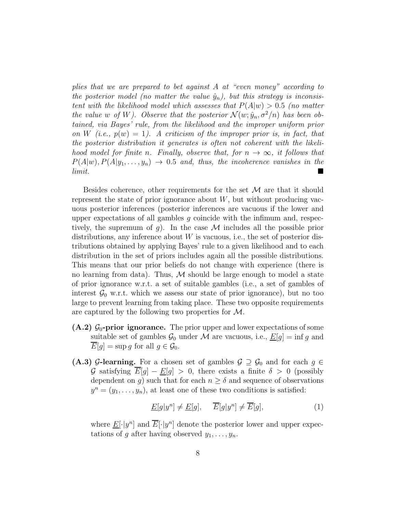plies that we are prepared to bet against A at "even money" according to the posterior model (no matter the value  $\hat{y}_n$ ), but this strategy is inconsistent with the likelihood model which assesses that  $P(A|w) > 0.5$  (no matter the value w of W). Observe that the posterior  $\mathcal{N}(w; \hat{y}_n, \sigma^2/n)$  has been obtained, via Bayes' rule, from the likelihood and the improper uniform prior on W (i.e.,  $p(w) = 1$ ). A criticism of the improper prior is, in fact, that the posterior distribution it generates is often not coherent with the likelihood model for finite n. Finally, observe that, for  $n \to \infty$ , it follows that  $P(A|w), P(A|y_1, \ldots, y_n) \rightarrow 0.5$  and, thus, the incoherence vanishes in the limit. limit.

Besides coherence, other requirements for the set  $\mathcal M$  are that it should represent the state of prior ignorance about  $W$ , but without producing vacuous posterior inferences (posterior inferences are vacuous if the lower and upper expectations of all gambles  $q$  coincide with the infimum and, respectively, the supremum of g). In the case  $\mathcal M$  includes all the possible prior distributions, any inference about  $W$  is vacuous, i.e., the set of posterior distributions obtained by applying Bayes' rule to a given likelihood and to each distribution in the set of priors includes again all the possible distributions. This means that our prior beliefs do not change with experience (there is no learning from data). Thus,  $M$  should be large enough to model a state of prior ignorance w.r.t. a set of suitable gambles (i.e., a set of gambles of interest  $\mathcal{G}_0$  w.r.t. which we assess our state of prior ignorance), but no too large to prevent learning from taking place. These two opposite requirements are captured by the following two properties for  $\mathcal{M}$ .

- $(A.2)$   $\mathcal{G}_0$ -prior ignorance. The prior upper and lower expectations of some suitable set of gambles  $\mathcal{G}_0$  under M are vacuous, i.e.,  $\underline{E}[g] = \inf g$  and  $\overline{E}[g] = \sup g$  for all  $g \in \mathcal{G}_0$ .
- (A.3) G-learning. For a chosen set of gambles  $\mathcal{G} \supseteq \mathcal{G}_0$  and for each  $g \in$ G satisfying  $\overline{E}[g] - \underline{E}[g] > 0$ , there exists a finite  $\delta > 0$  (possibly dependent on g) such that for each  $n \geq \delta$  and sequence of observations  $y^n = (y_1, \ldots, y_n)$ , at least one of these two conditions is satisfied:

$$
\underline{E}[g|y^n] \neq \underline{E}[g], \quad \overline{E}[g|y^n] \neq \overline{E}[g], \tag{1}
$$

where  $\underline{E}[\cdot|y^n]$  and  $\overline{E}[\cdot|y^n]$  denote the posterior lower and upper expectations of g after having observed  $y_1, \ldots, y_n$ .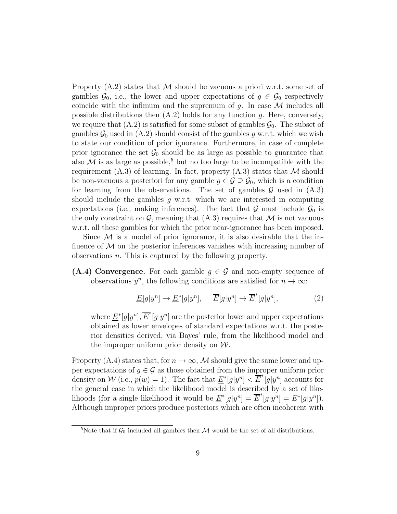Property  $(A.2)$  states that M should be vacuous a priori w.r.t. some set of gambles  $\mathcal{G}_0$ , i.e., the lower and upper expectations of  $g \in \mathcal{G}_0$  respectively coincide with the infimum and the supremum of g. In case  $\mathcal M$  includes all possible distributions then  $(A.2)$  holds for any function q. Here, conversely, we require that  $(A.2)$  is satisfied for some subset of gambles  $\mathcal{G}_0$ . The subset of gambles  $\mathcal{G}_0$  used in (A.2) should consist of the gambles g w.r.t. which we wish to state our condition of prior ignorance. Furthermore, in case of complete prior ignorance the set  $\mathcal{G}_0$  should be as large as possible to guarantee that also  $M$  is as large as possible,<sup>5</sup> but no too large to be incompatible with the requirement  $(A.3)$  of learning. In fact, property  $(A.3)$  states that M should be non-vacuous a posteriori for any gamble  $g \in \mathcal{G} \supseteq \mathcal{G}_0$ , which is a condition for learning from the observations. The set of gambles  $\mathcal G$  used in  $(A.3)$ should include the gambles  $g$  w.r.t. which we are interested in computing expectations (i.e., making inferences). The fact that  $\mathcal G$  must include  $\mathcal G_0$  is the only constraint on  $\mathcal{G}$ , meaning that  $(A.3)$  requires that M is not vacuous w.r.t. all these gambles for which the prior near-ignorance has been imposed.

Since  $\mathcal M$  is a model of prior ignorance, it is also desirable that the influence of  $\mathcal M$  on the posterior inferences vanishes with increasing number of observations n. This is captured by the following property.

(A.4) Convergence. For each gamble  $q \in \mathcal{G}$  and non-empty sequence of observations  $y^n$ , the following conditions are satisfied for  $n \to \infty$ :

$$
\underline{E}[g|y^n] \to \underline{E}^*[g|y^n], \quad \overline{E}[g|y^n] \to \overline{E}^*[g|y^n], \tag{2}
$$

where  $\underline{E}^*[g|y^n], \overline{E}^*[g|y^n]$  are the posterior lower and upper expectations obtained as lower envelopes of standard expectations w.r.t. the posterior densities derived, via Bayes' rule, from the likelihood model and the improper uniform prior density on  $W$ .

Property (A.4) states that, for  $n \to \infty$ , M should give the same lower and upper expectations of  $g \in \mathcal{G}$  as those obtained from the improper uniform prior density on W (i.e.,  $p(w) = 1$ ). The fact that  $\underline{E}^*[g|y^n] < \overline{E}^*[g|y^n]$  accounts for the general case in which the likelihood model is described by a set of likelihoods (for a single likelihood it would be  $\underline{E}^*[g|y^n] = \overline{E}^*[g|y^n] = E^*[g|y^n]$ ). Although improper priors produce posteriors which are often incoherent with

<sup>&</sup>lt;sup>5</sup>Note that if  $\mathcal{G}_0$  included all gambles then M would be the set of all distributions.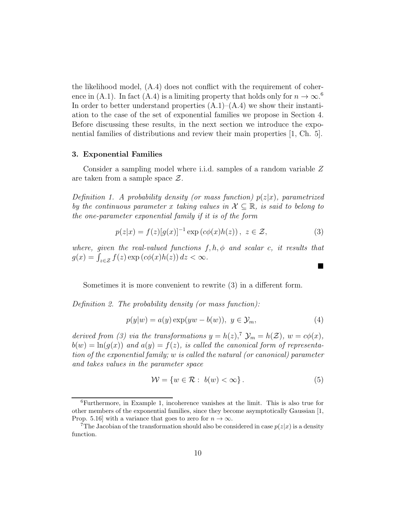the likelihood model, (A.4) does not conflict with the requirement of coherence in (A.1). In fact (A.4) is a limiting property that holds only for  $n \to \infty$ .<sup>6</sup> In order to better understand properties  $(A.1)$ – $(A.4)$  we show their instantiation to the case of the set of exponential families we propose in Section 4. Before discussing these results, in the next section we introduce the exponential families of distributions and review their main properties [1, Ch. 5].

## 3. Exponential Families

Consider a sampling model where i.i.d. samples of a random variable Z are taken from a sample space  $\mathcal{Z}$ .

Definition 1. A probability density (or mass function)  $p(z|x)$ , parametrized by the continuous parameter x taking values in  $\mathcal{X} \subseteq \mathbb{R}$ , is said to belong to the one-parameter exponential family if it is of the form

$$
p(z|x) = f(z)[g(x)]^{-1} \exp\left(c\phi(x)h(z)\right), \ z \in \mathcal{Z},\tag{3}
$$

where, given the real-valued functions  $f, h, \phi$  and scalar c, it results that  $g(x) = \int_{z \in \mathcal{Z}} f(z) \exp(c\phi(x)h(z)) dz < \infty.$ 

Sometimes it is more convenient to rewrite (3) in a different form.

Definition 2. The probability density (or mass function):

$$
p(y|w) = a(y) \exp(yw - b(w)), \ y \in \mathcal{Y}_m,
$$
\n<sup>(4)</sup>

derived from (3) via the transformations  $y = h(z)$ ,  $\mathcal{V}_m = h(\mathcal{Z})$ ,  $w = c\phi(x)$ ,  $b(w) = \ln(g(x))$  and  $a(y) = f(z)$ , is called the canonical form of representation of the exponential family; w is called the natural (or canonical) parameter and takes values in the parameter space

$$
\mathcal{W} = \{ w \in \mathcal{R} : b(w) < \infty \}. \tag{5}
$$

 $\blacksquare$ 

<sup>6</sup>Furthermore, in Example 1, incoherence vanishes at the limit. This is also true for other members of the exponential families, since they become asymptotically Gaussian [1, Prop. 5.16] with a variance that goes to zero for  $n \to \infty$ .

<sup>&</sup>lt;sup>7</sup>The Jacobian of the transformation should also be considered in case  $p(z|x)$  is a density function.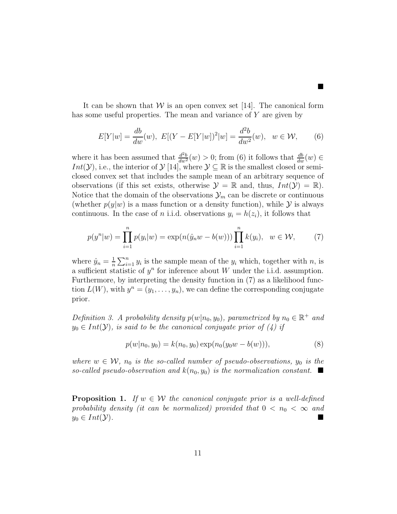It can be shown that  $W$  is an open convex set [14]. The canonical form has some useful properties. The mean and variance of Y are given by

$$
E[Y|w] = \frac{db}{dw}(w), \ E[(Y - E[Y|w])^{2}|w] = \frac{d^{2}b}{dw^{2}}(w), \ w \in \mathcal{W}, \qquad (6)
$$

ш

where it has been assumed that  $\frac{d^2b}{dw^2}(w) > 0$ ; from (6) it follows that  $\frac{db}{dw}(w) \in$ Int(Y), i.e., the interior of  $\mathcal{Y}$  [14], where  $\mathcal{Y} \subseteq \mathbb{R}$  is the smallest closed or semiclosed convex set that includes the sample mean of an arbitrary sequence of observations (if this set exists, otherwise  $\mathcal{Y} = \mathbb{R}$  and, thus,  $Int(\mathcal{Y}) = \mathbb{R}$ ). Notice that the domain of the observations  $\mathcal{Y}_m$  can be discrete or continuous (whether  $p(y|w)$  is a mass function or a density function), while  $\mathcal Y$  is always continuous. In the case of *n* i.i.d. observations  $y_i = h(z_i)$ , it follows that

$$
p(y^n|w) = \prod_{i=1}^n p(y_i|w) = \exp(n(\hat{y}_n w - b(w))) \prod_{i=1}^n k(y_i), \ \ w \in \mathcal{W}, \tag{7}
$$

where  $\hat{y}_n = \frac{1}{n}$  $\frac{1}{n}\sum_{i=1}^{n} y_i$  is the sample mean of the  $y_i$  which, together with n, is a sufficient statistic of  $y^n$  for inference about W under the i.i.d. assumption. Furthermore, by interpreting the density function in (7) as a likelihood function  $L(W)$ , with  $y^n = (y_1, \ldots, y_n)$ , we can define the corresponding conjugate prior.

Definition 3. A probability density  $p(w|n_0, y_0)$ , parametrized by  $n_0 \in \mathbb{R}^+$  and  $y_0 \in Int(\mathcal{Y})$ , is said to be the canonical conjugate prior of (4) if

$$
p(w|n_0, y_0) = k(n_0, y_0) \exp(n_0(y_0w - b(w))),
$$
\n(8)

where  $w \in \mathcal{W}$ ,  $n_0$  is the so-called number of pseudo-observations,  $y_0$  is the so-called pseudo-observation and  $k(n_0, y_0)$  is the normalization constant.

**Proposition 1.** If  $w \in \mathcal{W}$  the canonical conjugate prior is a well-defined probability density (it can be normalized) provided that  $0 < n_0 < \infty$  and  $y_0 \in Int(\mathcal{Y})$ .  $y_0 \in Int(\mathcal{Y}).$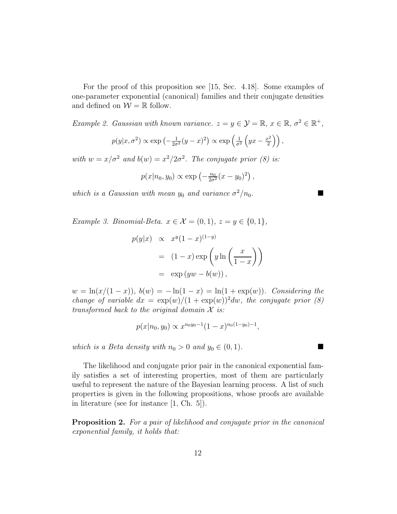For the proof of this proposition see [15, Sec. 4.18]. Some examples of one-parameter exponential (canonical) families and their conjugate densities and defined on  $W = \mathbb{R}$  follow.

Example 2. Gaussian with known variance.  $z = y \in \mathcal{Y} = \mathbb{R}, x \in \mathbb{R}, \sigma^2 \in \mathbb{R}^+,$ 

$$
p(y|x, \sigma^2) \propto \exp\left(-\frac{1}{2\sigma^2}(y-x)^2\right) \propto \exp\left(\frac{1}{\sigma^2}\left(yx-\frac{x^2}{2}\right)\right),
$$

with  $w = x/\sigma^2$  and  $b(w) = x^2/2\sigma^2$ . The conjugate prior (8) is:

$$
p(x|n_0, y_0) \propto \exp(-\frac{n_0}{2\sigma^2}(x-y_0)^2)
$$
,

which is a Gaussian with mean  $y_0$  and variance  $\sigma^2/n_0$ .

Example 3. Binomial-Beta.  $x \in \mathcal{X} = (0, 1), z = y \in \{0, 1\},\$ 

$$
p(y|x) \propto x^y (1-x)^{(1-y)}
$$
  
=  $(1-x) \exp\left(y \ln\left(\frac{x}{1-x}\right)\right)$   
=  $\exp(yw - b(w)),$ 

 $w = \ln(x/(1-x))$ ,  $b(w) = -\ln(1-x) = \ln(1+\exp(w))$ . Considering the change of variable  $dx = \exp(w)/(1 + \exp(w))^2 dw$ , the conjugate prior (8) transformed back to the original domain  $\mathcal X$  is:

$$
p(x|n_0, y_0) \propto x^{n_0y_0-1}(1-x)^{n_0(1-y_0)-1},
$$

which is a Beta density with  $n_0 > 0$  and  $y_0 \in (0, 1)$ .

The likelihood and conjugate prior pair in the canonical exponential family satisfies a set of interesting properties, most of them are particularly useful to represent the nature of the Bayesian learning process. A list of such properties is given in the following propositions, whose proofs are available in literature (see for instance [1, Ch. 5]).

Proposition 2. For a pair of likelihood and conjugate prior in the canonical exponential family, it holds that: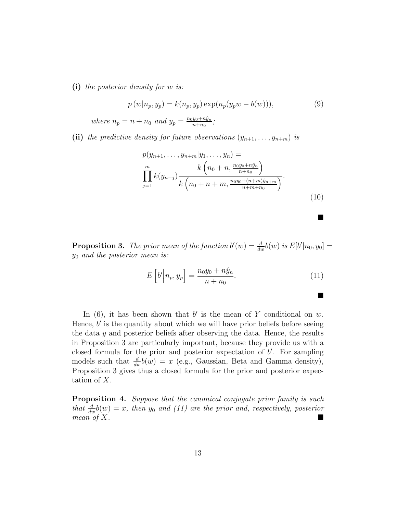(i) the posterior density for w is:

$$
p(w|n_p, y_p) = k(n_p, y_p) \exp(n_p(y_p w - b(w))), \tag{9}
$$

where  $n_p = n + n_0$  and  $y_p = \frac{n_0 y_0 + n\hat{y}_n}{n + n_0}$  $\frac{y_0+ny_n}{n+n_0};$ 

(ii) the predictive density for future observations  $(y_{n+1},...,y_{n+m})$  is

$$
p(y_{n+1}, \ldots, y_{n+m}|y_1, \ldots, y_n) =
$$
  
\n
$$
\prod_{j=1}^m k(y_{n+j}) \frac{k(n_0+n, \frac{n_0y_0+n\hat{y}_n}{n+n_0})}{k(n_0+n+m, \frac{n_0y_0+(n+m)\hat{y}_{n+m}}{n+m+n_0})}.
$$
  
\n(10)

■

■

**Proposition 3.** The prior mean of the function  $b'(w) = \frac{d}{dw}b(w)$  is  $E[b'|n_0, y_0] =$  $y_0$  and the posterior mean is:

$$
E\left[b'\middle|n_p, y_p\right] = \frac{n_0 y_0 + n\hat{y}_n}{n + n_0}.\tag{11}
$$

In  $(6)$ , it has been shown that b' is the mean of Y conditional on w. Hence,  $b'$  is the quantity about which we will have prior beliefs before seeing the data  $\gamma$  and posterior beliefs after observing the data. Hence, the results in Proposition 3 are particularly important, because they provide us with a closed formula for the prior and posterior expectation of  $b'$ . For sampling models such that  $\frac{d}{dw}b(w) = x$  (e.g., Gaussian, Beta and Gamma density), Proposition 3 gives thus a closed formula for the prior and posterior expectation of X.

**Proposition 4.** Suppose that the canonical conjugate prior family is such that  $\frac{d}{dw}b(w) = x$ , then  $y_0$  and (11) are the prior and, respectively, posterior mean of  $X$ .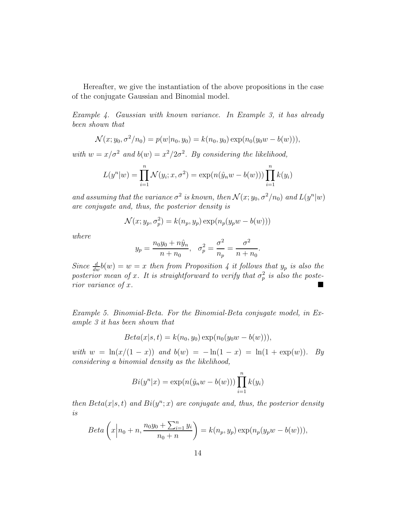Hereafter, we give the instantiation of the above propositions in the case of the conjugate Gaussian and Binomial model.

Example 4. Gaussian with known variance. In Example 3, it has already been shown that

$$
\mathcal{N}(x; y_0, \sigma^2/n_0) = p(w|n_0, y_0) = k(n_0, y_0) \exp(n_0(y_0w - b(w))),
$$

with  $w = x/\sigma^2$  and  $b(w) = x^2/2\sigma^2$ . By considering the likelihood,

$$
L(y^{n}|w) = \prod_{i=1}^{n} \mathcal{N}(y_{i}; x, \sigma^{2}) = \exp(n(\hat{y}_{n}w - b(w))) \prod_{i=1}^{n} k(y_{i})
$$

and assuming that the variance  $\sigma^2$  is known, then  $\mathcal{N}(x; y_0, \sigma^2/n_0)$  and  $L(y^n|w)$ are conjugate and, thus, the posterior density is

$$
\mathcal{N}(x; y_p, \sigma_p^2) = k(n_p, y_p) \exp(n_p(y_p w - b(w)))
$$

where

$$
y_p = \frac{n_0 y_0 + n \hat{y}_n}{n + n_0}, \quad \sigma_p^2 = \frac{\sigma^2}{n_p} = \frac{\sigma^2}{n + n_0}.
$$

Since  $\frac{d}{dw}b(w) = w = x$  then from Proposition 4 it follows that  $y_p$  is also the posterior mean of x. It is straightforward to verify that  $\sigma_p^2$  is also the posterior variance of  $x$ .

Example 5. Binomial-Beta. For the Binomial-Beta conjugate model, in Example 3 it has been shown that

$$
Beta(x|s, t) = k(n_0, y_0) \exp(n_0(y_0w - b(w))),
$$

with  $w = \ln(x/(1-x))$  and  $b(w) = -\ln(1-x) = \ln(1+\exp(w))$ . By considering a binomial density as the likelihood,

$$
Bi(y^n|x) = \exp(n(\hat{y}_n w - b(w))) \prod_{i=1}^n k(y_i)
$$

then  $Beta(x|s, t)$  and  $Bi(y^n; x)$  are conjugate and, thus, the posterior density is

$$
Beta\left(x\bigg|n_0 + n, \frac{n_0y_0 + \sum_{i=1}^n y_i}{n_0 + n}\right) = k(n_p, y_p) \exp(n_p(y_p w - b(w))),
$$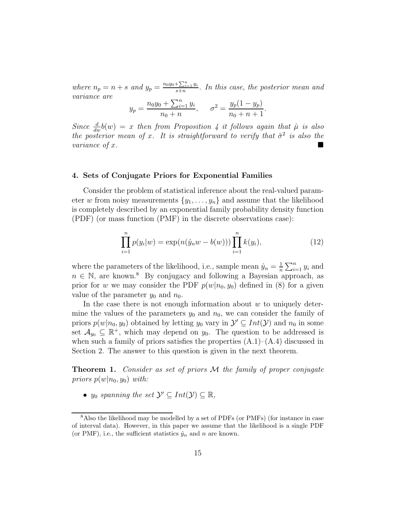where  $n_p = n + s$  and  $y_p = \frac{n_0y_0 + \sum_{i=1}^n y_i}{s+n}$  $\frac{\sum_{i=1}^{n} y_i}{s+n}$ . In this case, the posterior mean and variance are

$$
y_p = \frac{n_0 y_0 + \sum_{i=1}^n y_i}{n_0 + n}, \quad \sigma^2 = \frac{y_p (1 - y_p)}{n_0 + n + 1}.
$$

Since  $\frac{d}{dw}b(w) = x$  then from Proposition 4 it follows again that  $\hat{\mu}$  is also the posterior mean of x. It is straightforward to verify that  $\hat{\sigma}^2$  is also the variance of x.

#### 4. Sets of Conjugate Priors for Exponential Families

Consider the problem of statistical inference about the real-valued parameter w from noisy measurements  $\{y_1, \ldots, y_n\}$  and assume that the likelihood is completely described by an exponential family probability density function (PDF) (or mass function (PMF) in the discrete observations case):

$$
\prod_{i=1}^{n} p(y_i|w) = \exp(n(\hat{y}_n w - b(w))) \prod_{i=1}^{n} k(y_i),
$$
\n(12)

where the parameters of the likelihood, i.e., sample mean  $\hat{y}_n = \frac{1}{n}$  $\frac{1}{n} \sum_{i=1}^{n} y_i$  and  $n \in \mathbb{N}$ , are known.<sup>8</sup> By conjugacy and following a Bayesian approach, as prior for w we may consider the PDF  $p(w|n_0, y_0)$  defined in (8) for a given value of the parameter  $y_0$  and  $n_0$ .

In the case there is not enough information about  $w$  to uniquely determine the values of the parameters  $y_0$  and  $n_0$ , we can consider the family of priors  $p(w|n_0, y_0)$  obtained by letting  $y_0$  vary in  $\mathcal{Y}' \subseteq Int(\mathcal{Y})$  and  $n_0$  in some set  $\mathcal{A}_{y_0} \subseteq \mathbb{R}^+$ , which may depend on  $y_0$ . The question to be addressed is when such a family of priors satisfies the properties  $(A.1)$ – $(A.4)$  discussed in Section 2. The answer to this question is given in the next theorem.

**Theorem 1.** Consider as set of priors  $M$  the family of proper conjugate priors  $p(w|n_0, y_0)$  with:

•  $y_0$  spanning the set  $\mathcal{Y}' \subseteq Int(\mathcal{Y}) \subseteq \mathbb{R}$ ,

<sup>8</sup>Also the likelihood may be modelled by a set of PDFs (or PMFs) (for instance in case of interval data). However, in this paper we assume that the likelihood is a single PDF (or PMF), i.e., the sufficient statistics  $\hat{y}_n$  and n are known.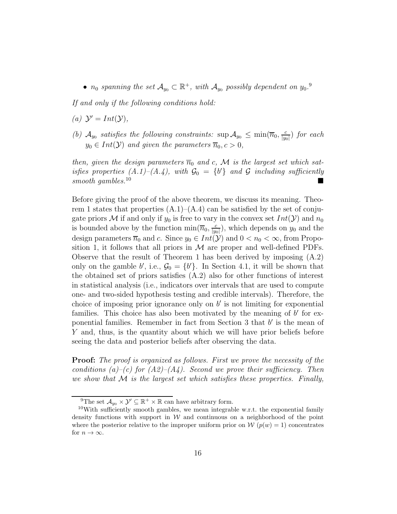•  $n_0$  spanning the set  $\mathcal{A}_{y_0} \subset \mathbb{R}^+$ , with  $\mathcal{A}_{y_0}$  possibly dependent on  $y_0$ .

If and only if the following conditions hold:

- (a)  $\mathcal{Y}' = Int(\mathcal{Y}),$
- (b)  $\mathcal{A}_{y_0}$  satisfies the following constraints:  $\sup \mathcal{A}_{y_0} \leq \min(\overline{n}_0, \frac{c}{|y_0|})$  $\frac{c}{|y_0|}$ ) for each  $y_0 \in Int(\mathcal{Y})$  and given the parameters  $\overline{n}_0, c > 0$ ,

then, given the design parameters  $\overline{n}_0$  and c, M is the largest set which satisfies properties  $(A.1)$ – $(A.4)$ , with  $\mathcal{G}_0 = \{b'\}$  and  $\mathcal G$  including sufficiently smooth gambles.<sup>10</sup>

Before giving the proof of the above theorem, we discuss its meaning. Theorem 1 states that properties  $(A.1)$ – $(A.4)$  can be satisfied by the set of conjugate priors M if and only if  $y_0$  is free to vary in the convex set  $Int(Y)$  and  $n_0$ is bounded above by the function  $\min(\overline{n}_0, \frac{c}{|w|})$  $\frac{c}{|y_0|}$ , which depends on  $y_0$  and the design parameters  $\overline{n}_0$  and c. Since  $y_0 \in Int(\mathcal{Y})$  and  $0 < n_0 < \infty$ , from Proposition 1, it follows that all priors in  $\mathcal M$  are proper and well-defined PDFs. Observe that the result of Theorem 1 has been derived by imposing (A.2) only on the gamble b', i.e.,  $\mathcal{G}_0 = \{b'\}$ . In Section 4.1, it will be shown that the obtained set of priors satisfies (A.2) also for other functions of interest in statistical analysis (i.e., indicators over intervals that are used to compute one- and two-sided hypothesis testing and credible intervals). Therefore, the choice of imposing prior ignorance only on  $b'$  is not limiting for exponential families. This choice has also been motivated by the meaning of  $b'$  for exponential families. Remember in fact from Section 3 that  $b'$  is the mean of Y and, thus, is the quantity about which we will have prior beliefs before seeing the data and posterior beliefs after observing the data.

**Proof:** The proof is organized as follows. First we prove the necessity of the conditions (a)–(c) for  $(A2)$ – $(A4)$ . Second we prove their sufficiency. Then we show that  $\mathcal M$  is the largest set which satisfies these properties. Finally,

<sup>&</sup>lt;sup>9</sup>The set  $\mathcal{A}_{y_0} \times \mathcal{Y}' \subseteq \mathbb{R}^+ \times \mathbb{R}$  can have arbitrary form.

<sup>&</sup>lt;sup>10</sup>With sufficiently smooth gambles, we mean integrable w.r.t. the exponential family density functions with support in  $W$  and continuous on a neighborhood of the point where the posterior relative to the improper uniform prior on  $\mathcal{W}(p(w) = 1)$  concentrates for  $n \to \infty$ .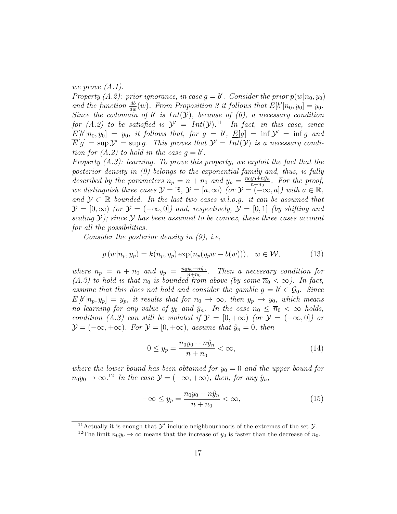we prove (A.1).

Property (A.2): prior ignorance, in case  $g = b'$ . Consider the prior  $p(w|n_0, y_0)$ and the function  $\frac{db}{dw}(w)$ . From Proposition 3 it follows that  $E[b'|n_0, y_0] = y_0$ . Since the codomain of b' is  $Int(Y)$ , because of  $(6)$ , a necessary condition for  $(A.2)$  to be satisfied is  $\mathcal{Y}' = Int(\mathcal{Y})$ .<sup>11</sup> In fact, in this case, since  $E[b'|n_0, y_0] = y_0$ , it follows that, for  $g = b'$ ,  $E[g] = \inf y' = \inf g$  and  $\overline{E}[g] = \sup \mathcal{Y}' = \sup g$ . This proves that  $\mathcal{Y}' = Int(\mathcal{Y})$  is a necessary condition for  $(A.2)$  to hold in the case  $g = b'$ .

Property  $(A.3)$ : learning. To prove this property, we exploit the fact that the posterior density in (9) belongs to the exponential family and, thus, is fully described by the parameters  $n_p = n + n_0$  and  $y_p = \frac{n_0y_0 + n\hat{y}_n}{n_0 + n_0}$  $\frac{y_0+ny_n}{n+n_0}$ . For the proof, we distinguish three cases  $\mathcal{Y} = \mathbb{R}, \mathcal{Y} = [a, \infty)$  (or  $\mathcal{Y} = (-\infty, a]$ ) with  $a \in \mathbb{R}$ , and  $\mathcal{Y} \subset \mathbb{R}$  bounded. In the last two cases w.l.o.g. it can be assumed that  $\mathcal{Y} = [0,\infty)$  (or  $\mathcal{Y} = (-\infty,0]$ ) and, respectively,  $\mathcal{Y} = [0,1]$  (by shifting and scaling  $\mathcal{Y}$ ); since  $\mathcal{Y}$  has been assumed to be convex, these three cases account for all the possibilities.

Consider the posterior density in  $(9)$ , i.e,

$$
p(w|n_p, y_p) = k(n_p, y_p) \exp(n_p(y_p w - b(w))), \quad w \in \mathcal{W},\tag{13}
$$

where  $n_p = n + n_0$  and  $y_p = \frac{n_0y_0 + n\hat{y}_n}{n + n_0}$  $\frac{y_0+ny_n}{n+n_0}$ . Then a necessary condition for (A.3) to hold is that  $n_0$  is bounded from above (by some  $\overline{n}_0 < \infty$ ). In fact, assume that this does not hold and consider the gamble  $g = b' \in \mathcal{G}_0$ . Since  $E[b'|n_p, y_p] = y_p$ , it results that for  $n_0 \to \infty$ , then  $y_p \to y_0$ , which means no learning for any value of  $y_0$  and  $\hat{y}_n$ . In the case  $n_0 \leq \overline{n}_0 < \infty$  holds, condition (A.3) can still be violated if  $\mathcal{Y} = [0, +\infty)$  (or  $\mathcal{Y} = (-\infty, 0]$ ) or  $\mathcal{Y} = (-\infty, +\infty)$ . For  $\mathcal{Y} = [0, +\infty)$ , assume that  $\hat{y}_n = 0$ , then

$$
0 \le y_p = \frac{n_0 y_0 + n \hat{y}_n}{n + n_0} < \infty,\tag{14}
$$

where the lower bound has been obtained for  $y_0 = 0$  and the upper bound for  $n_0y_0 \to \infty$ .<sup>12</sup> In the case  $\mathcal{Y} = (-\infty, +\infty)$ , then, for any  $\hat{y}_n$ ,

$$
-\infty \le y_p = \frac{n_0 y_0 + n\hat{y}_n}{n + n_0} < \infty,\tag{15}
$$

<sup>&</sup>lt;sup>11</sup>Actually it is enough that  $\mathcal{Y}'$  include neighbourhoods of the extremes of the set  $\mathcal{Y}$ . <sup>12</sup>The limit  $n_0y_0 \to \infty$  means that the increase of y<sub>0</sub> is faster than the decrease of  $n_0$ .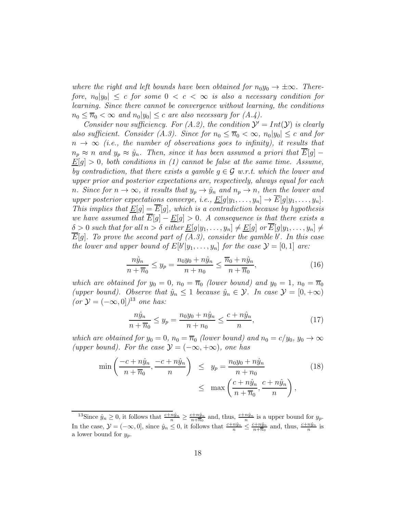where the right and left bounds have been obtained for  $n_0y_0 \to \pm \infty$ . Therefore,  $n_0|y_0| \leq c$  for some  $0 < c < \infty$  is also a necessary condition for learning. Since there cannot be convergence without learning, the conditions  $n_0 \leq \overline{n}_0 < \infty$  and  $n_0|y_0| \leq c$  are also necessary for  $(A.4)$ .

Consider now sufficiency. For (A.2), the condition  $\mathcal{Y}' = Int(\mathcal{Y})$  is clearly also sufficient. Consider (A.3). Since for  $n_0 \leq \overline{n}_0 < \infty$ ,  $n_0|y_0| \leq c$  and for  $n \to \infty$  (i.e., the number of observations goes to infinity), it results that  $n_p \approx n$  and  $y_p \approx \hat{y}_n$ . Then, since it has been assumed a priori that  $\overline{E}[g]$  –  $\underline{E}[g] > 0$ , both conditions in (1) cannot be false at the same time. Assume, by contradiction, that there exists a gamble  $g \in \mathcal{G}$  w.r.t. which the lower and upper prior and posterior expectations are, respectively, always equal for each n. Since for  $n \to \infty$ , it results that  $y_p \to \hat{y}_n$  and  $n_p \to n$ , then the lower and upper posterior expectations converge, i.e.,  $\underline{E}[g|y_1,\ldots,y_n] \to \overline{E}[g|y_1,\ldots,y_n].$ This implies that  $\underline{E}[g] = \overline{E}[g]$ , which is a contradiction because by hypothesis we have assumed that  $\overline{E}[g] - \underline{E}[g] > 0$ . A consequence is that there exists a  $\delta > 0$  such that for all  $n > \delta$  either  $\underline{E}[g|y_1,\ldots,y_n] \neq \underline{E}[g]$  or  $E[g|y_1,\ldots,y_n] \neq$  $\overline{E}[g]$ . To prove the second part of  $(A.3)$ , consider the gamble  $b'$ . In this case the lower and upper bound of  $E[b'|y_1, \ldots, y_n]$  for the case  $\mathcal{Y} = [0, 1]$  are:

$$
\frac{n\hat{y}_n}{n+\overline{n}_0} \le y_p = \frac{n_0 y_0 + n\hat{y}_n}{n+n_0} \le \frac{\overline{n}_0 + n\hat{y}_n}{n+\overline{n}_0},\tag{16}
$$

which are obtained for  $y_0 = 0$ ,  $n_0 = \overline{n}_0$  (lower bound) and  $y_0 = 1$ ,  $n_0 = \overline{n}_0$ (upper bound). Observe that  $\hat{y}_n \leq 1$  because  $\hat{y}_n \in \mathcal{Y}$ . In case  $\mathcal{Y} = [0, +\infty)$  $(or \mathcal{Y} = (-\infty, 0])^{13} one has:$ 

$$
\frac{n\hat{y}_n}{n + \overline{n}_0} \le y_p = \frac{n_0 y_0 + n\hat{y}_n}{n + n_0} \le \frac{c + n\hat{y}_n}{n},\tag{17}
$$

which are obtained for  $y_0 = 0$ ,  $n_0 = \overline{n}_0$  (lower bound) and  $n_0 = c/y_0$ ,  $y_0 \rightarrow \infty$ (upper bound). For the case  $\mathcal{Y} = (-\infty, +\infty)$ , one has

$$
\min\left(\frac{-c+n\hat{y}_n}{n+\overline{n}_0}, \frac{-c+n\hat{y}_n}{n}\right) \le y_p = \frac{n_0y_0+n\hat{y}_n}{n+n_0} \tag{18}
$$
\n
$$
\le \max\left(\frac{c+n\hat{y}_n}{n+\overline{n}_0}, \frac{c+n\hat{y}_n}{n}\right),
$$

<sup>&</sup>lt;sup>13</sup>Since  $\hat{y}_n \geq 0$ , it follows that  $\frac{c+n\hat{y}_n}{n} \geq \frac{c+n\hat{y}_n}{n+\overline{n}_0}$  and, thus,  $\frac{c+n\hat{y}_n}{n}$  is a upper bound for  $y_p$ . In the case,  $\mathcal{Y} = (-\infty, 0]$ , since  $\hat{y}_n \leq 0$ , it follows that  $\frac{c+n\hat{y}_n}{n} \leq \frac{c+n\hat{y}_n}{n+1}$  and, thus,  $\frac{c+n\hat{y}_n}{n}$  is a lower bound for  $y_p$ .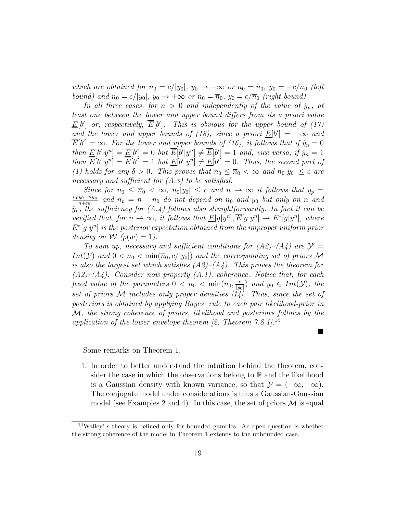which are obtained for  $n_0 = c/|y_0|$ ,  $y_0 \to -\infty$  or  $n_0 = \overline{n}_0$ ,  $y_0 = -c/\overline{n}_0$  (left bound) and  $n_0 = c/|y_0|$ ,  $y_0 \rightarrow +\infty$  or  $n_0 = \overline{n}_0$ ,  $y_0 = c/\overline{n}_0$  (right bound).

In all three cases, for  $n > 0$  and independently of the value of  $\hat{y}_n$ , at least one between the lower and upper bound differs from its a priori value  $\underline{E}[b']$  or, respectively,  $\overline{E}[b']$ . This is obvious for the upper bound of (17) and the lower and upper bounds of (18), since a priori  $\underline{E}[b'] = -\infty$  and  $\overline{E}[b'] = \infty$ . For the lower and upper bounds of (16), it follows that if  $\hat{y}_n = 0$ then  $\underline{E}[b']y^n] = \underline{E}[b'] = 0$  but  $\overline{E}[b']y^n] \neq \overline{E}[b'] = 1$  and, vice versa, if  $\hat{y}_n = 1$ then  $\overline{E}[b']y^n] = \overline{E}[b'] = 1$  but  $\underline{E}[b']y^n] \neq \underline{E}[b'] = 0$ . Thus, the second part of (1) holds for any  $\delta > 0$ . This proves that  $n_0 \leq \overline{n}_0 < \infty$  and  $n_0|y_0| \leq c$  are necessary and sufficient for  $(A.3)$  to be satisfied.

Since for  $n_0 \leq \overline{n}_0 < \infty$ ,  $n_0|y_0| \leq c$  and  $n \to \infty$  it follows that  $y_p =$  $n_0y_0+n\hat{y}_n$  $\frac{y_0+ny_n}{n+n_0}$  and  $n_p$  =  $n+n_0$  do not depend on  $n_0$  and  $y_0$  but only on n and  $\hat{y}_n$ , the sufficiency for  $(A.4)$  follows also straightforwardly. In fact it can be verified that, for  $n \to \infty$ , it follows that  $\underline{E}[g|y^n], \overline{E}[g|y^n] \to E^*[g|y^n]$ , where  $E^*[g|y^n]$  is the posterior expectation obtained from the improper uniform prior density on W  $(p(w) = 1)$ .

To sum up, necessary and sufficient conditions for  $(A2)$ – $(A4)$  are  $\mathcal{Y}' =$ Int(Y) and  $0 < n_0 < \min(\overline{n}_0, c/|y_0|)$  and the corresponding set of priors M is also the largest set which satisfies  $(A2)$ – $(A4)$ . This proves the theorem for  $(A2)$ – $(A4)$ . Consider now property  $(A.1)$ , coherence. Notice that, for each fixed value of the parameters  $0 < n_0 < \min(\overline{n}_0, \frac{c}{\ln n})$  $\frac{c}{|y_0|}$ ) and  $y_0 \in Int(\mathcal{Y})$ , the set of priors  $M$  includes only proper densities  $[14]$ . Thus, since the set of posteriors is obtained by applying Bayes' rule to each pair likelihood-prior in M, the strong coherence of priors, likelihood and posteriors follows by the application of the lower envelope theorem [2, Theorem 7.8.1].<sup>14</sup>

Some remarks on Theorem 1.

1. In order to better understand the intuition behind the theorem, consider the case in which the observations belong to  $\mathbb R$  and the likelihood is a Gaussian density with known variance, so that  $\mathcal{Y} = (-\infty, +\infty)$ . The conjugate model under considerations is thus a Gaussian-Gaussian model (see Examples 2 and 4). In this case, the set of priors  $\mathcal M$  is equal

 $\blacksquare$ 

<sup>14</sup>Walley' s theory is defined only for bounded gambles. An open question is whether the strong coherence of the model in Theorem 1 extends to the unbounded case.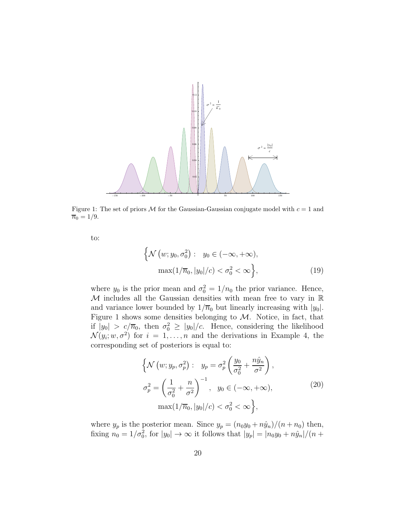

Figure 1: The set of priors M for the Gaussian-Gaussian conjugate model with  $c = 1$  and  $\overline{n}_0 = 1/9.$ 

to:

$$
\left\{ \mathcal{N}\left(w; y_0, \sigma_0^2\right) : y_0 \in (-\infty, +\infty), \max(1/\overline{n}_0, |y_0|/c) < \sigma_0^2 < \infty \right\},\tag{19}
$$

where  $y_0$  is the prior mean and  $\sigma_0^2 = 1/n_0$  the prior variance. Hence,  $M$  includes all the Gaussian densities with mean free to vary in  $\mathbb R$ and variance lower bounded by  $1/\overline{n}_0$  but linearly increasing with  $|y_0|$ . Figure 1 shows some densities belonging to  $M$ . Notice, in fact, that if  $|y_0| > c/\overline{n}_0$ , then  $\sigma_0^2 \ge |y_0|/c$ . Hence, considering the likelihood  $\mathcal{N}(y_i; w, \sigma^2)$  for  $i = 1, \ldots, n$  and the derivations in Example 4, the corresponding set of posteriors is equal to:

$$
\left\{ \mathcal{N}\left(w; y_p, \sigma_p^2\right) : \quad y_p = \sigma_p^2 \left(\frac{y_0}{\sigma_0^2} + \frac{n\hat{y}_n}{\sigma^2}\right), \right\}
$$
\n
$$
\sigma_p^2 = \left(\frac{1}{\sigma_0^2} + \frac{n}{\sigma^2}\right)^{-1}, \quad y_0 \in (-\infty, +\infty), \quad (20)
$$
\n
$$
\max(1/\overline{n}_0, |y_0|/c) < \sigma_0^2 < \infty \right\},
$$

where  $y_p$  is the posterior mean. Since  $y_p = (n_0y_0 + n\hat{y}_n)/(n + n_0)$  then, fixing  $n_0 = 1/\sigma_0^2$ , for  $|y_0| \to \infty$  it follows that  $|y_p| = |n_0y_0 + n\hat{y}_n|/(n +$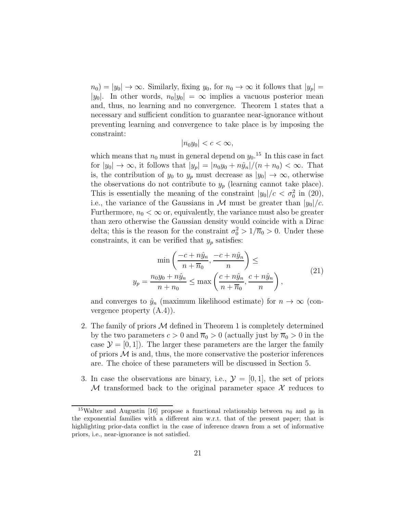$n_0 = |y_0| \to \infty$ . Similarly, fixing  $y_0$ , for  $n_0 \to \infty$  it follows that  $|y_p| =$ |y<sub>0</sub>|. In other words,  $n_0|y_0| = \infty$  implies a vacuous posterior mean and, thus, no learning and no convergence. Theorem 1 states that a necessary and sufficient condition to guarantee near-ignorance without preventing learning and convergence to take place is by imposing the constraint:

$$
|n_0y_0|
$$

which means that  $n_0$  must in general depend on  $y_0$ .<sup>15</sup> In this case in fact for  $|y_0| \to \infty$ , it follows that  $|y_p| = |n_0y_0 + n\hat{y}_n|/(n + n_0) < \infty$ . That is, the contribution of  $y_0$  to  $y_p$  must decrease as  $|y_0| \to \infty$ , otherwise the observations do not contribute to  $y_p$  (learning cannot take place). This is essentially the meaning of the constraint  $|y_0|/c < \sigma_0^2$  in (20), i.e., the variance of the Gaussians in M must be greater than  $|y_0|/c$ . Furthermore,  $n_0 < \infty$  or, equivalently, the variance must also be greater than zero otherwise the Gaussian density would coincide with a Dirac delta; this is the reason for the constraint  $\sigma_0^2 > 1/\overline{n}_0 > 0$ . Under these constraints, it can be verified that  $y_p$  satisfies:

$$
\min\left(\frac{-c+n\hat{y}_n}{n+\overline{n}_0}, \frac{-c+n\hat{y}_n}{n}\right) \le
$$
\n
$$
y_p = \frac{n_0y_0 + n\hat{y}_n}{n+n_0} \le \max\left(\frac{c+n\hat{y}_n}{n+\overline{n}_0}, \frac{c+n\hat{y}_n}{n}\right),
$$
\n(21)

and converges to  $\hat{y}_n$  (maximum likelihood estimate) for  $n \to \infty$  (convergence property (A.4)).

- 2. The family of priors  $M$  defined in Theorem 1 is completely determined by the two parameters  $c > 0$  and  $\overline{n}_0 > 0$  (actually just by  $\overline{n}_0 > 0$  in the case  $\mathcal{Y} = [0, 1]$ . The larger these parameters are the larger the family of priors  $\mathcal M$  is and, thus, the more conservative the posterior inferences are. The choice of these parameters will be discussed in Section 5.
- 3. In case the observations are binary, i.e.,  $\mathcal{Y} = [0, 1]$ , the set of priors M transformed back to the original parameter space  $\mathcal X$  reduces to

<sup>&</sup>lt;sup>15</sup>Walter and Augustin [16] propose a functional relationship between  $n_0$  and  $y_0$  in the exponential families with a different aim w.r.t. that of the present paper; that is highlighting prior-data conflict in the case of inference drawn from a set of informative priors, i.e., near-ignorance is not satisfied.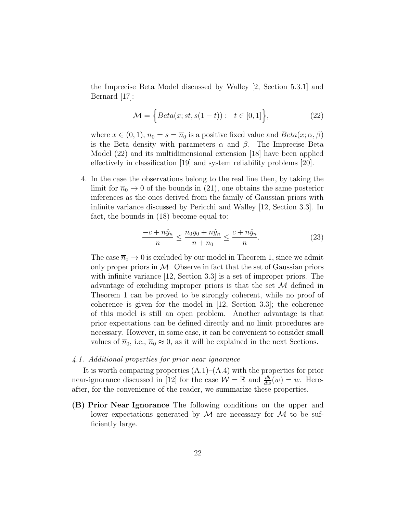the Imprecise Beta Model discussed by Walley [2, Section 5.3.1] and Bernard [17]:

$$
\mathcal{M} = \left\{ Beta(x; st, s(1-t)) : t \in [0,1] \right\},\tag{22}
$$

where  $x \in (0, 1)$ ,  $n_0 = s = \overline{n}_0$  is a positive fixed value and  $Beta(x; \alpha, \beta)$ is the Beta density with parameters  $\alpha$  and  $\beta$ . The Imprecise Beta Model (22) and its multidimensional extension [18] have been applied effectively in classification [19] and system reliability problems [20].

4. In the case the observations belong to the real line then, by taking the limit for  $\overline{n}_0 \rightarrow 0$  of the bounds in (21), one obtains the same posterior inferences as the ones derived from the family of Gaussian priors with infinite variance discussed by Pericchi and Walley [12, Section 3.3]. In fact, the bounds in (18) become equal to:

$$
\frac{-c + n\hat{y}_n}{n} \le \frac{n_0 y_0 + n\hat{y}_n}{n + n_0} \le \frac{c + n\hat{y}_n}{n}.
$$
 (23)

The case  $\overline{n}_0 \to 0$  is excluded by our model in Theorem 1, since we admit only proper priors in  $M$ . Observe in fact that the set of Gaussian priors with infinite variance [12, Section 3.3] is a set of improper priors. The advantage of excluding improper priors is that the set  $\mathcal M$  defined in Theorem 1 can be proved to be strongly coherent, while no proof of coherence is given for the model in [12, Section 3.3]; the coherence of this model is still an open problem. Another advantage is that prior expectations can be defined directly and no limit procedures are necessary. However, in some case, it can be convenient to consider small values of  $\overline{n}_0$ , i.e.,  $\overline{n}_0 \approx 0$ , as it will be explained in the next Sections.

#### 4.1. Additional properties for prior near ignorance

It is worth comparing properties  $(A.1)$ – $(A.4)$  with the properties for prior near-ignorance discussed in [12] for the case  $\mathcal{W} = \mathbb{R}$  and  $\frac{db}{dw}(w) = w$ . Hereafter, for the convenience of the reader, we summarize these properties.

(B) Prior Near Ignorance The following conditions on the upper and lower expectations generated by  $\mathcal M$  are necessary for  $\mathcal M$  to be sufficiently large.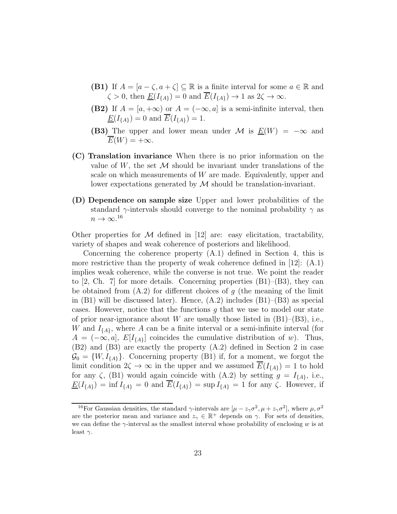- **(B1)** If  $A = [a \zeta, a + \zeta] \subseteq \mathbb{R}$  is a finite interval for some  $a \in \mathbb{R}$  and  $\zeta > 0$ , then  $\underline{E}(I_{\{A\}}) = 0$  and  $\overline{E}(I_{\{A\}}) \to 1$  as  $2\zeta \to \infty$ .
- (B2) If  $A = [a, +\infty)$  or  $A = (-\infty, a]$  is a semi-infinite interval, then  $\underline{E}(I_{\{A\}}) = 0$  and  $\overline{E}(I_{\{A\}}) = 1$ .
- (B3) The upper and lower mean under M is  $E(W) = -\infty$  and  $E(W) = +\infty.$
- (C) Translation invariance When there is no prior information on the value of  $W$ , the set  $\mathcal M$  should be invariant under translations of the scale on which measurements of  $W$  are made. Equivalently, upper and lower expectations generated by M should be translation-invariant.
- (D) Dependence on sample size Upper and lower probabilities of the standard  $\gamma$ -intervals should converge to the nominal probability  $\gamma$  as  $n \to \infty.^{16}$

Other properties for  $\mathcal M$  defined in [12] are: easy elicitation, tractability, variety of shapes and weak coherence of posteriors and likelihood.

Concerning the coherence property (A.1) defined in Section 4, this is more restrictive than the property of weak coherence defined in  $[12]$ :  $(A.1)$ implies weak coherence, while the converse is not true. We point the reader to  $[2, Ch. 7]$  for more details. Concerning properties  $(B1)$ – $(B3)$ , they can be obtained from  $(A.2)$  for different choices of g (the meaning of the limit in  $(B1)$  will be discussed later). Hence,  $(A.2)$  includes  $(B1)$ – $(B3)$  as special cases. However, notice that the functions  $q$  that we use to model our state of prior near-ignorance about W are usually those listed in  $(B1)$ – $(B3)$ , i.e., W and  $I_{\{A\}}$ , where A can be a finite interval or a semi-infinite interval (for  $A = (-\infty, a], E[I_{\{A\}}]$  coincides the cumulative distribution of w). Thus, (B2) and (B3) are exactly the property (A.2) defined in Section 2 in case  $\mathcal{G}_0 = \{W, I_{\{A\}}\}.$  Concerning property (B1) if, for a moment, we forgot the limit condition  $2\zeta \to \infty$  in the upper and we assumed  $\overline{E}(I_{\{A\}}) = 1$  to hold for any  $\zeta$ , (B1) would again coincide with (A.2) by setting  $g = I_{\{A\}}$ , i.e.,  $\underline{E}(I_{\{A\}}) = \inf I_{\{A\}} = 0$  and  $\overline{E}(I_{\{A\}}) = \sup I_{\{A\}} = 1$  for any  $\zeta$ . However, if

<sup>&</sup>lt;sup>16</sup>For Gaussian densities, the standard  $\gamma$ -intervals are  $[\mu - z_{\gamma}\sigma^2, \mu + z_{\gamma}\sigma^2]$ , where  $\mu, \sigma^2$ are the posterior mean and variance and  $z_{\gamma} \in \mathbb{R}^+$  depends on  $\gamma$ . For sets of densities, we can define the  $\gamma$ -interval as the smallest interval whose probability of enclosing w is at least  $\gamma$ .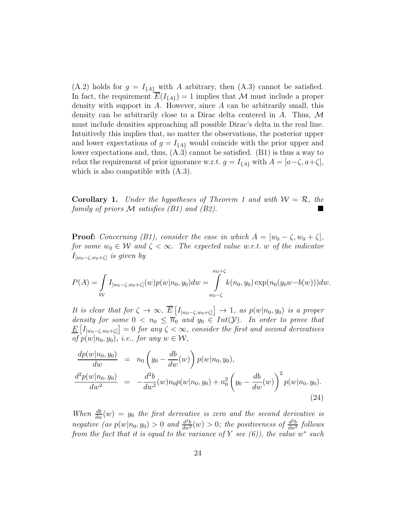(A.2) holds for  $g = I_{\{A\}}$  with A arbitrary, then (A.3) cannot be satisfied. In fact, the requirement  $\overline{E}(I_{\{A\}}) = 1$  implies that M must include a proper density with support in  $A$ . However, since  $A$  can be arbitrarily small, this density can be arbitrarily close to a Dirac delta centered in A. Thus,  $\mathcal M$ must include densities approaching all possible Dirac's delta in the real line. Intuitively this implies that, no matter the observations, the posterior upper and lower expectations of  $g = I_{\{A\}}$  would coincide with the prior upper and lower expectations and, thus, (A.3) cannot be satisfied. (B1) is thus a way to relax the requirement of prior ignorance w.r.t.  $g = I_{\{A\}}$  with  $A = [a-\zeta, a+\zeta],$ which is also compatible with (A.3).

**Corollary 1.** Under the hypotheses of Theorem 1 and with  $W = \mathcal{R}$ , the family of priors  $\mathcal M$  satisfies (B1) and (B2).

**Proof:** Concerning (B1), consider the case in which  $A = [w_0 - \zeta, w_0 + \zeta],$ for some  $w_0 \in \mathcal{W}$  and  $\zeta < \infty$ . The expected value w.r.t. w of the indicator  $I_{[w_0-\zeta,w_0+\zeta]}$  is given by

$$
P(A) = \int_{W} I_{[w_0 - \zeta, w_0 + \zeta]}(w) p(w | n_0, y_0) dw = \int_{w_0 - \zeta}^{w_0 + \zeta} k(n_0, y_0) \exp(n_0(y_0 w - b(w))) dw.
$$

It is clear that for  $\zeta \to \infty$ ,  $\overline{E}\left[I_{[w_0-\zeta,w_0+\zeta]} \right] \to 1$ , as  $p(w|n_0,y_0)$  is a proper density for some  $0 < n_0 \leq \overline{n}_0$  and  $y_0 \in Int(Y)$ . In order to prove that  $\underline{E}\left[I_{[w_0-\zeta,w_0+\zeta]}\right]=0$  for any  $\zeta<\infty$ , consider the first and second derivatives of  $p(w|n_0, y_0)$ , i.e., for any  $w \in \mathcal{W}$ ,

$$
\frac{dp(w|n_0, y_0)}{dw} = n_0 \left(y_0 - \frac{db}{dw}(w)\right) p(w|n_0, y_0),
$$
\n
$$
\frac{d^2p(w|n_0, y_0)}{dw^2} = -\frac{d^2b}{dw^2}(w)n_0p(w|n_0, y_0) + n_0^2 \left(y_0 - \frac{db}{dw}(w)\right)^2 p(w|n_0, y_0).
$$
\n(24)

When  $\frac{db}{dw}(w) = y_0$  the first derivative is zero and the second derivative is negative (as  $p(w|n_0, y_0) > 0$  and  $\frac{d^2b}{dw^2}(w) > 0$ ; the positiveness of  $\frac{d^2b}{dw^2}$  follows from the fact that it is equal to the variance of Y see  $(6)$ ), the value w<sup>\*</sup> such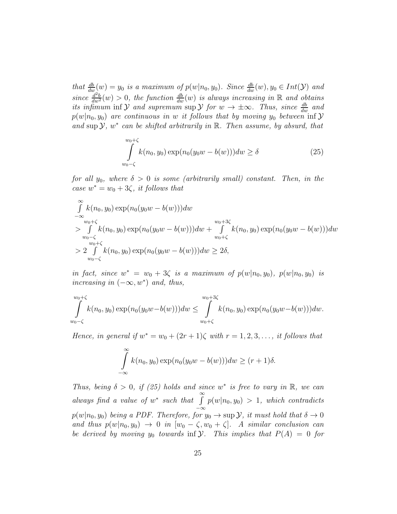that  $\frac{db}{dw}(w) = y_0$  is a maximum of  $p(w|n_0, y_0)$ . Since  $\frac{db}{dw}(w), y_0 \in Int(\mathcal{Y})$  and since  $\frac{d^2b}{dw^2}(w) > 0$ , the function  $\frac{db}{dw}(w)$  is always increasing in R and obtains its infimum inf  $\mathcal Y$  and supremum sup  $\mathcal Y$  for  $w \to \pm \infty$ . Thus, since  $\frac{db}{dw}$  and  $p(w|n_0, y_0)$  are continuous in w it follows that by moving  $y_0$  between inf  $\mathcal Y$ and sup  $\mathcal{Y}, w^*$  can be shifted arbitrarily in  $\mathbb{R}$ . Then assume, by absurd, that

$$
\int_{w_0-\zeta}^{w_0+\zeta} k(n_0, y_0) \exp(n_0(y_0w - b(w))) dw \ge \delta
$$
\n(25)

for all  $y_0$ , where  $\delta > 0$  is some (arbitrarily small) constant. Then, in the case  $w^* = w_0 + 3\zeta$ , it follows that

$$
\int_{-\infty}^{\infty} k(n_0, y_0) \exp(n_0(y_0w - b(w)))dw
$$
\n
$$
> \int_{w_0 + \zeta}^{w_0 + \zeta} k(n_0, y_0) \exp(n_0(y_0w - b(w)))dw + \int_{w_0 + \zeta}^{w_0 + 3\zeta} k(n_0, y_0) \exp(n_0(y_0w - b(w)))dw
$$
\n
$$
> 2 \int_{w_0 - \zeta}^{\zeta} k(n_0, y_0) \exp(n_0(y_0w - b(w)))dw \ge 2\delta,
$$

in fact, since  $w^* = w_0 + 3\zeta$  is a maximum of  $p(w|n_0, y_0)$ ,  $p(w|n_0, y_0)$  is increasing in  $(-\infty, w^*)$  and, thus,

$$
\int_{w_0+\zeta}^{w_0+\zeta} k(n_0, y_0) \exp(n_0(y_0w - b(w))) dw \leq \int_{w_0+\zeta}^{w_0+\zeta} k(n_0, y_0) \exp(n_0(y_0w - b(w))) dw.
$$

Hence, in general if  $w^* = w_0 + (2r + 1)\zeta$  with  $r = 1, 2, 3, \ldots$ , it follows that

$$
\int_{-\infty}^{\infty} k(n_0, y_0) \exp(n_0(y_0w - b(w))) dw \ge (r+1)\delta.
$$

Thus, being  $\delta > 0$ , if (25) holds and since w<sup>\*</sup> is free to vary in R, we can always find a value of  $w^*$  such that  $\int_0^\infty$  $\int_{-\infty}^{\infty} p(w|n_0, y_0) > 1$ , which contradicts  $p(w|n_0, y_0)$  being a PDF. Therefore, for  $y_0 \to \sup \mathcal{Y}$ , it must hold that  $\delta \to 0$ and thus  $p(w|n_0, y_0) \rightarrow 0$  in  $[w_0 - \zeta, w_0 + \zeta]$ . A similar conclusion can be derived by moving  $y_0$  towards inf  $\mathcal Y$ . This implies that  $P(A) = 0$  for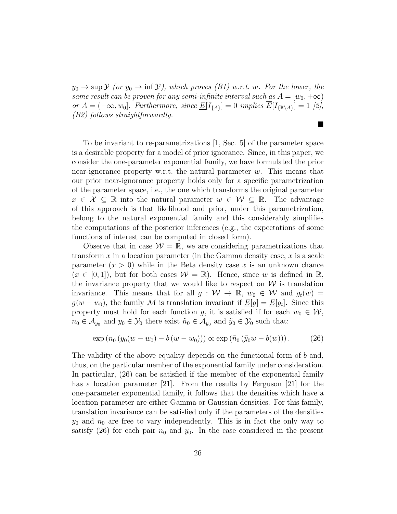$y_0 \to \sup \mathcal{Y}$  (or  $y_0 \to \inf \mathcal{Y}$ ), which proves (B1) w.r.t. w. For the lower, the same result can be proven for any semi-infinite interval such as  $A = [w_0, +\infty)$ or  $A = (-\infty, w_0]$ . Furthermore, since  $\underline{E}[I_{\{A\}}] = 0$  implies  $\overline{E}[I_{\{\mathbb{R}\setminus A\}}] = 1$  [2], (B2) follows straightforwardly.

ш

To be invariant to re-parametrizations [1, Sec. 5] of the parameter space is a desirable property for a model of prior ignorance. Since, in this paper, we consider the one-parameter exponential family, we have formulated the prior near-ignorance property w.r.t. the natural parameter  $w$ . This means that our prior near-ignorance property holds only for a specific parametrization of the parameter space, i.e., the one which transforms the original parameter  $x \in \mathcal{X} \subseteq \mathbb{R}$  into the natural parameter  $w \in \mathcal{W} \subseteq \mathbb{R}$ . The advantage of this approach is that likelihood and prior, under this parametrization, belong to the natural exponential family and this considerably simplifies the computations of the posterior inferences (e.g., the expectations of some functions of interest can be computed in closed form).

Observe that in case  $W = \mathbb{R}$ , we are considering parametrizations that transform  $x$  in a location parameter (in the Gamma density case,  $x$  is a scale parameter  $(x > 0)$  while in the Beta density case x is an unknown chance  $(x \in [0,1])$ , but for both cases  $\mathcal{W} = \mathbb{R}$ . Hence, since w is defined in  $\mathbb{R}$ , the invariance property that we would like to respect on  $\mathcal W$  is translation invariance. This means that for all  $g : W \to \mathbb{R}, w_0 \in W$  and  $g_t(w) =$  $g(w - w_0)$ , the family M is translation invariant if  $\underline{E}[g] = \underline{E}[g_t]$ . Since this property must hold for each function g, it is satisfied if for each  $w_0 \in \mathcal{W}$ ,  $n_0 \in \mathcal{A}_{y_0}$  and  $y_0 \in \mathcal{Y}_0$  there exist  $\tilde{n}_0 \in \mathcal{A}_{y_0}$  and  $\tilde{y}_0 \in \mathcal{Y}_0$  such that:

$$
\exp(n_0(y_0(w - w_0) - b(w - w_0))) \propto \exp(\tilde{n}_0(\tilde{y}_0w - b(w))).
$$
 (26)

The validity of the above equality depends on the functional form of  $b$  and, thus, on the particular member of the exponential family under consideration. In particular, (26) can be satisfied if the member of the exponential family has a location parameter [21]. From the results by Ferguson [21] for the one-parameter exponential family, it follows that the densities which have a location parameter are either Gamma or Gaussian densities. For this family, translation invariance can be satisfied only if the parameters of the densities  $y_0$  and  $n_0$  are free to vary independently. This is in fact the only way to satisfy (26) for each pair  $n_0$  and  $y_0$ . In the case considered in the present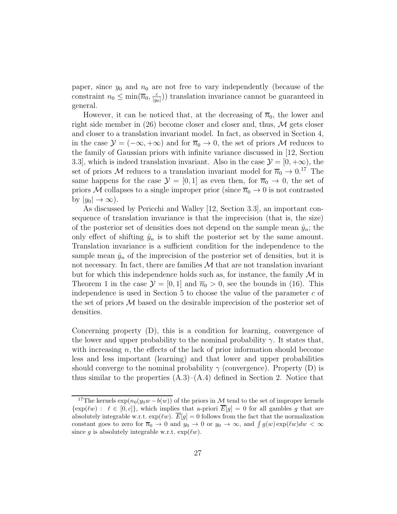paper, since  $y_0$  and  $n_0$  are not free to vary independently (because of the constraint  $n_0 \leq \min(\overline{n}_0, \frac{c}{|y_0|})$  $\frac{c}{|y_0|}$ ) translation invariance cannot be guaranteed in general.

However, it can be noticed that, at the decreasing of  $\overline{n}_0$ , the lower and right side member in  $(26)$  become closer and closer and, thus, M gets closer and closer to a translation invariant model. In fact, as observed in Section 4, in the case  $\mathcal{Y} = (-\infty, +\infty)$  and for  $\overline{n}_0 \to 0$ , the set of priors M reduces to the family of Gaussian priors with infinite variance discussed in [12, Section 3.3], which is indeed translation invariant. Also in the case  $\mathcal{Y} = [0, +\infty)$ , the set of priors M reduces to a translation invariant model for  $\overline{n}_0 \rightarrow 0.17$  The same happens for the case  $\mathcal{Y} = [0, 1]$  as even then, for  $\overline{n}_0 \to 0$ , the set of priors M collapses to a single improper prior (since  $\overline{n}_0 \to 0$  is not contrasted by  $|y_0| \to \infty$ ).

As discussed by Pericchi and Walley [12, Section 3.3], an important consequence of translation invariance is that the imprecision (that is, the size) of the posterior set of densities does not depend on the sample mean  $\hat{y}_n$ ; the only effect of shifting  $\hat{y}_n$  is to shift the posterior set by the same amount. Translation invariance is a sufficient condition for the independence to the sample mean  $\hat{y}_n$  of the imprecision of the posterior set of densities, but it is not necessary. In fact, there are families  $M$  that are not translation invariant but for which this independence holds such as, for instance, the family  $\mathcal M$  in Theorem 1 in the case  $\mathcal{Y} = [0, 1]$  and  $\overline{n}_0 > 0$ , see the bounds in (16). This independence is used in Section 5 to choose the value of the parameter  $c$  of the set of priors M based on the desirable imprecision of the posterior set of densities.

Concerning property (D), this is a condition for learning, convergence of the lower and upper probability to the nominal probability  $\gamma$ . It states that, with increasing  $n$ , the effects of the lack of prior information should become less and less important (learning) and that lower and upper probabilities should converge to the nominal probability  $\gamma$  (convergence). Property (D) is thus similar to the properties  $(A.3)$ – $(A.4)$  defined in Section 2. Notice that

<sup>&</sup>lt;sup>17</sup>The kernels  $\exp(n_0(y_0w - b(w))$  of the priors in M tend to the set of improper kernels  $\{\exp(w): \ell \in [0, c]\},\$  which implies that a-priori  $\overline{E}[g] = 0$  for all gambles g that are absolutely integrable w.r.t.  $\exp(w)$ .  $E[g] = 0$  follows from the fact that the normalization constant goes to zero for  $\overline{n}_0 \to 0$  and  $y_0 \to 0$  or  $y_0 \to \infty$ , and  $\int g(w) \exp(lw) dw < \infty$ since g is absolutely integrable w.r.t.  $\exp(\ell w)$ .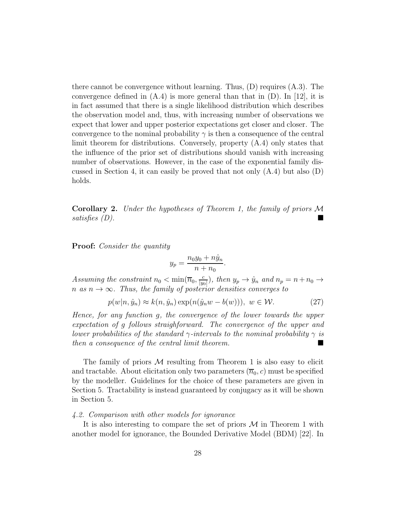there cannot be convergence without learning. Thus,  $(D)$  requires  $(A.3)$ . The convergence defined in  $(A.4)$  is more general than that in  $(D)$ . In [12], it is in fact assumed that there is a single likelihood distribution which describes the observation model and, thus, with increasing number of observations we expect that lower and upper posterior expectations get closer and closer. The convergence to the nominal probability  $\gamma$  is then a consequence of the central limit theorem for distributions. Conversely, property (A.4) only states that the influence of the prior set of distributions should vanish with increasing number of observations. However, in the case of the exponential family discussed in Section 4, it can easily be proved that not only  $(A.4)$  but also  $(D)$ holds.

**Corollary 2.** Under the hypotheses of Theorem 1, the family of priors  $\mathcal M$ satisfies (D).

**Proof:** Consider the quantity

$$
y_p = \frac{n_0 y_0 + n \hat{y}_n}{n + n_0}.
$$

Assuming the constraint  $n_0 < \min(\overline{n}_0, \frac{c}{\ln n})$  $\frac{c}{|y_0|}$ , then  $y_p \to \hat{y}_n$  and  $n_p = n + n_0 \to$ n as  $n \to \infty$ . Thus, the family of posterior densities converges to

$$
p(w|n, \hat{y}_n) \approx k(n, \hat{y}_n) \exp(n(\hat{y}_n w - b(w))), \ w \in \mathcal{W}.
$$
 (27)

Hence, for any function g, the convergence of the lower towards the upper expectation of g follows straighforward. The convergence of the upper and lower probabilities of the standard  $\gamma$ -intervals to the nominal probability  $\gamma$  is then a consequence of the central limit theorem.

The family of priors  $M$  resulting from Theorem 1 is also easy to elicit and tractable. About elicitation only two parameters  $(\overline{n}_0, c)$  must be specified by the modeller. Guidelines for the choice of these parameters are given in Section 5. Tractability is instead guaranteed by conjugacy as it will be shown in Section 5.

## 4.2. Comparison with other models for ignorance

It is also interesting to compare the set of priors  $\mathcal M$  in Theorem 1 with another model for ignorance, the Bounded Derivative Model (BDM) [22]. In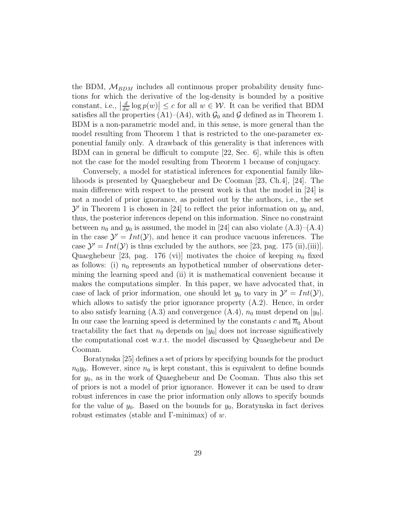the BDM,  $M_{BDM}$  includes all continuous proper probability density functions for which the derivative of the log-density is bounded by a positive constant, i.e.,  $\left| \frac{d}{dw} \log p(w) \right| \leq c$  for all  $w \in \mathcal{W}$ . It can be verified that BDM satisfies all the properties (A1)–(A4), with  $\mathcal{G}_0$  and  $\mathcal G$  defined as in Theorem 1. BDM is a non-parametric model and, in this sense, is more general than the model resulting from Theorem 1 that is restricted to the one-parameter exponential family only. A drawback of this generality is that inferences with BDM can in general be difficult to compute [22, Sec. 6], while this is often not the case for the model resulting from Theorem 1 because of conjugacy.

Conversely, a model for statistical inferences for exponential family likelihoods is presented by Quaeghebeur and De Cooman [23, Ch.4], [24]. The main difference with respect to the present work is that the model in [24] is not a model of prior ignorance, as pointed out by the authors, i.e., the set  $\mathcal{Y}'$  in Theorem 1 is chosen in [24] to reflect the prior information on  $y_0$  and, thus, the posterior inferences depend on this information. Since no constraint between  $n_0$  and  $y_0$  is assumed, the model in [24] can also violate  $(A.3)$ – $(A.4)$ in the case  $\mathcal{Y}' = Int(\mathcal{Y})$ , and hence it can produce vacuous inferences. The case  $\mathcal{Y}' = Int(\mathcal{Y})$  is thus excluded by the authors, see [23, pag. 175 (ii),(iii)]. Quaeghebeur [23, pag. 176 (vi)] motivates the choice of keeping  $n_0$  fixed as follows: (i)  $n_0$  represents an hypothetical number of observations determining the learning speed and (ii) it is mathematical convenient because it makes the computations simpler. In this paper, we have advocated that, in case of lack of prior information, one should let  $y_0$  to vary in  $\mathcal{Y}' = Int(\mathcal{Y})$ , which allows to satisfy the prior ignorance property  $(A.2)$ . Hence, in order to also satisfy learning (A.3) and convergence  $(A.4)$ ,  $n_0$  must depend on  $|y_0|$ . In our case the learning speed is determined by the constants c and  $\overline{n}_0$  About tractability the fact that  $n_0$  depends on  $|y_0|$  does not increase significatively the computational cost w.r.t. the model discussed by Quaeghebeur and De Cooman.

Boratynska [25] defines a set of priors by specifying bounds for the product  $n_0y_0$ . However, since  $n_0$  is kept constant, this is equivalent to define bounds for  $y_0$ , as in the work of Quaeghebeur and De Cooman. Thus also this set of priors is not a model of prior ignorance. However it can be used to draw robust inferences in case the prior information only allows to specify bounds for the value of  $y_0$ . Based on the bounds for  $y_0$ , Boratynska in fact derives robust estimates (stable and Γ-minimax) of  $w$ .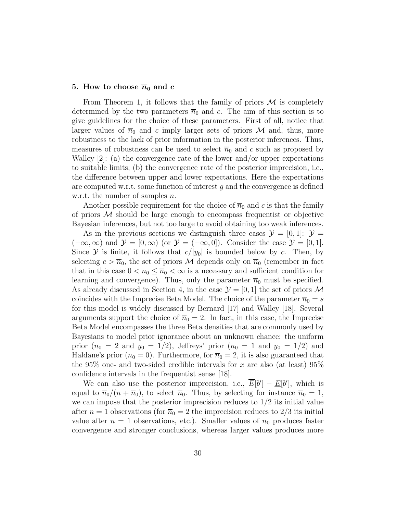#### 5. How to choose  $\overline{n}_0$  and c

From Theorem 1, it follows that the family of priors  $\mathcal M$  is completely determined by the two parameters  $\overline{n}_0$  and c. The aim of this section is to give guidelines for the choice of these parameters. First of all, notice that larger values of  $\overline{n}_0$  and c imply larger sets of priors M and, thus, more robustness to the lack of prior information in the posterior inferences. Thus, measures of robustness can be used to select  $\overline{n}_0$  and c such as proposed by Walley  $[2]$ : (a) the convergence rate of the lower and/or upper expectations to suitable limits; (b) the convergence rate of the posterior imprecision, i.e., the difference between upper and lower expectations. Here the expectations are computed w.r.t. some function of interest  $g$  and the convergence is defined w.r.t. the number of samples *n*.

Another possible requirement for the choice of  $\overline{n}_0$  and c is that the family of priors  $M$  should be large enough to encompass frequentist or objective Bayesian inferences, but not too large to avoid obtaining too weak inferences.

As in the previous sections we distinguish three cases  $\mathcal{Y} = [0, 1]: \mathcal{Y} =$  $(-\infty, \infty)$  and  $\mathcal{Y} = [0, \infty)$  (or  $\mathcal{Y} = (-\infty, 0]$ ). Consider the case  $\mathcal{Y} = [0, 1]$ . Since Y is finite, it follows that  $c/|y_0|$  is bounded below by c. Then, by selecting  $c > \overline{n}_0$ , the set of priors M depends only on  $\overline{n}_0$  (remember in fact that in this case  $0 < n_0 \leq \overline{n}_0 < \infty$  is a necessary and sufficient condition for learning and convergence). Thus, only the parameter  $\overline{n}_0$  must be specified. As already discussed in Section 4, in the case  $\mathcal{Y} = [0, 1]$  the set of priors M coincides with the Imprecise Beta Model. The choice of the parameter  $\overline{n}_0 = s$ for this model is widely discussed by Bernard [17] and Walley [18]. Several arguments support the choice of  $\overline{n}_0 = 2$ . In fact, in this case, the Imprecise Beta Model encompasses the three Beta densities that are commonly used by Bayesians to model prior ignorance about an unknown chance: the uniform prior  $(n_0 = 2$  and  $y_0 = 1/2)$ , Jeffreys' prior  $(n_0 = 1$  and  $y_0 = 1/2)$  and Haldane's prior  $(n_0 = 0)$ . Furthermore, for  $\overline{n}_0 = 2$ , it is also guaranteed that the 95% one- and two-sided credible intervals for x are also (at least) 95% confidence intervals in the frequentist sense [18].

We can also use the posterior imprecision, i.e.,  $\overline{E}[b'] - \underline{E}[b']$ , which is equal to  $\overline{n}_0/(n + \overline{n}_0)$ , to select  $\overline{n}_0$ . Thus, by selecting for instance  $\overline{n}_0 = 1$ , we can impose that the posterior imprecision reduces to  $1/2$  its initial value after  $n = 1$  observations (for  $\overline{n}_0 = 2$  the imprecision reduces to 2/3 its initial value after  $n = 1$  observations, etc.). Smaller values of  $\overline{n}_0$  produces faster convergence and stronger conclusions, whereas larger values produces more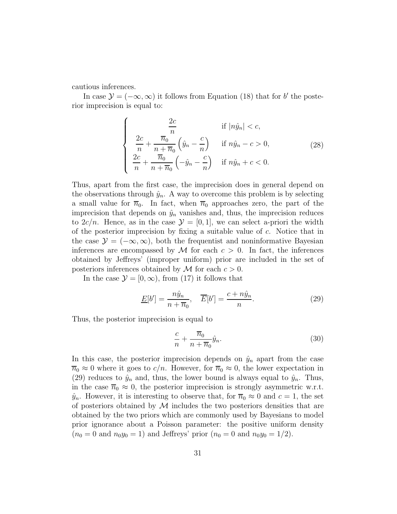cautious inferences.

In case  $\mathcal{Y} = (-\infty, \infty)$  it follows from Equation (18) that for b' the posterior imprecision is equal to:

$$
\begin{cases}\n\frac{2c}{n} & \text{if } |n\hat{y}_n| < c, \\
\frac{2c}{n} + \frac{\overline{n}_0}{n + \overline{n}_0} \left(\hat{y}_n - \frac{c}{n}\right) & \text{if } n\hat{y}_n - c > 0, \\
\frac{2c}{n} + \frac{\overline{n}_0}{n + \overline{n}_0} \left(-\hat{y}_n - \frac{c}{n}\right) & \text{if } n\hat{y}_n + c < 0.\n\end{cases}
$$
\n(28)

Thus, apart from the first case, the imprecision does in general depend on the observations through  $\hat{y}_n$ . A way to overcome this problem is by selecting a small value for  $\overline{n}_0$ . In fact, when  $\overline{n}_0$  approaches zero, the part of the imprecision that depends on  $\hat{y}_n$  vanishes and, thus, the imprecision reduces to  $2c/n$ . Hence, as in the case  $\mathcal{Y} = [0, 1]$ , we can select a-priori the width of the posterior imprecision by fixing a suitable value of  $c$ . Notice that in the case  $\mathcal{Y} = (-\infty, \infty)$ , both the frequentist and noninformative Bayesian inferences are encompassed by  $\mathcal M$  for each  $c > 0$ . In fact, the inferences obtained by Jeffreys' (improper uniform) prior are included in the set of posteriors inferences obtained by  $\mathcal M$  for each  $c > 0$ .

In the case  $\mathcal{Y} = [0, \infty)$ , from (17) it follows that

$$
\underline{E}[b'] = \frac{n\hat{y}_n}{n + \overline{n}_0}, \quad \overline{E}[b'] = \frac{c + n\hat{y}_n}{n}.
$$
\n(29)

Thus, the posterior imprecision is equal to

$$
\frac{c}{n} + \frac{\overline{n}_0}{n + \overline{n}_0} \hat{y}_n. \tag{30}
$$

In this case, the posterior imprecision depends on  $\hat{y}_n$  apart from the case  $\overline{n}_0 \approx 0$  where it goes to  $c/n$ . However, for  $\overline{n}_0 \approx 0$ , the lower expectation in (29) reduces to  $\hat{y}_n$  and, thus, the lower bound is always equal to  $\hat{y}_n$ . Thus, in the case  $\overline{n}_0 \approx 0$ , the posterior imprecision is strongly asymmetric w.r.t.  $\hat{y}_n$ . However, it is interesting to observe that, for  $\overline{n}_0 \approx 0$  and  $c = 1$ , the set of posteriors obtained by  $\mathcal M$  includes the two posteriors densities that are obtained by the two priors which are commonly used by Bayesians to model prior ignorance about a Poisson parameter: the positive uniform density  $(n_0 = 0 \text{ and } n_0 y_0 = 1)$  and Jeffreys' prior  $(n_0 = 0 \text{ and } n_0 y_0 = 1/2)$ .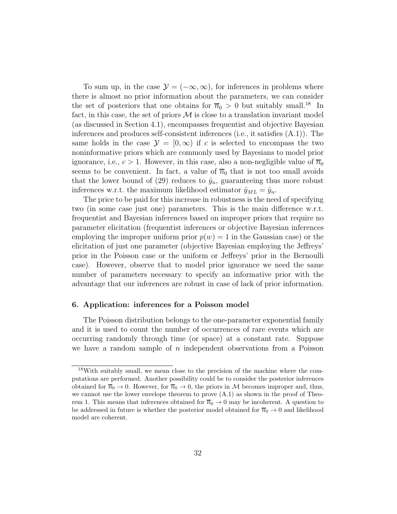To sum up, in the case  $\mathcal{Y} = (-\infty, \infty)$ , for inferences in problems where there is almost no prior information about the parameters, we can consider the set of posteriors that one obtains for  $\overline{n}_0 > 0$  but suitably small.<sup>18</sup> In fact, in this case, the set of priors  $\mathcal M$  is close to a translation invariant model (as discussed in Section 4.1), encompasses frequentist and objective Bayesian inferences and produces self-consistent inferences (i.e., it satisfies (A.1)). The same holds in the case  $\mathcal{Y} = [0, \infty)$  if c is selected to encompass the two noninformative priors which are commonly used by Bayesians to model prior ignorance, i.e.,  $c > 1$ . However, in this case, also a non-negligible value of  $\overline{n}_0$ seems to be convenient. In fact, a value of  $\overline{n}_0$  that is not too small avoids that the lower bound of (29) reduces to  $\hat{y}_n$ , guaranteeing thus more robust inferences w.r.t. the maximum likelihood estimator  $\hat{y}_{ML} = \hat{y}_n$ .

The price to be paid for this increase in robustness is the need of specifying two (in some case just one) parameters. This is the main difference w.r.t. frequentist and Bayesian inferences based on improper priors that require no parameter elicitation (frequentist inferences or objective Bayesian inferences employing the improper uniform prior  $p(w) = 1$  in the Gaussian case) or the elicitation of just one parameter (objective Bayesian employing the Jeffreys' prior in the Poisson case or the uniform or Jeffreys' prior in the Bernoulli case). However, observe that to model prior ignorance we need the same number of parameters necessary to specify an informative prior with the advantage that our inferences are robust in case of lack of prior information.

#### 6. Application: inferences for a Poisson model

The Poisson distribution belongs to the one-parameter exponential family and it is used to count the number of occurrences of rare events which are occurring randomly through time (or space) at a constant rate. Suppose we have a random sample of  $n$  independent observations from a Poisson

<sup>&</sup>lt;sup>18</sup>With suitably small, we mean close to the precision of the machine where the computations are performed. Another possibility could be to consider the posterior inferences obtained for  $\overline{n}_0 \to 0$ . However, for  $\overline{n}_0 \to 0$ , the priors in M becomes improper and, thus, we cannot use the lower envelope theorem to prove  $(A.1)$  as shown in the proof of Theorem 1. This means that inferences obtained for  $\overline{n}_0 \to 0$  may be incoherent. A question to be addressed in future is whether the posterior model obtained for  $\overline{n}_0 \rightarrow 0$  and likelihood model are coherent.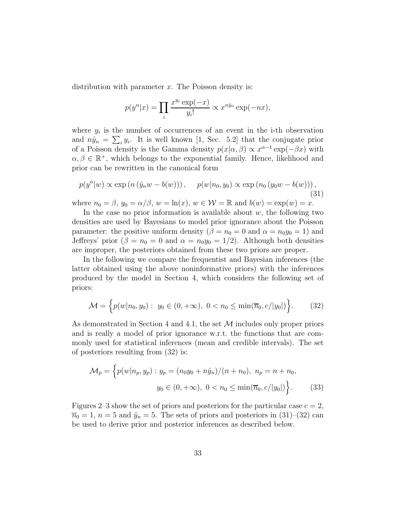distribution with parameter x. The Poisson density is:

$$
p(y^n|x) = \prod_i \frac{x^{y_i} \exp(-x)}{y_i!} \propto x^{n\hat{y}_n} \exp(-nx),
$$

where  $y_i$  is the number of occurrences of an event in the i-th observation and  $n\hat{y}_n = \sum_i y_i$ . It is well known [1, Sec. 5.2] that the conjugate prior of a Poisson density is the Gamma density  $p(x|\alpha, \beta) \propto x^{\alpha-1} \exp(-\beta x)$  with  $\alpha, \beta \in \mathbb{R}^+$ , which belongs to the exponential family. Hence, likelihood and prior can be rewritten in the canonical form

$$
p(y^n|w) \propto \exp\left(n\left(\hat{y}_nw - b(w)\right)\right), \quad p(w|n_0, y_0) \propto \exp\left(n_0\left(y_0w - b(w)\right)\right),\tag{31}
$$

where  $n_0 = \beta$ ,  $y_0 = \alpha/\beta$ ,  $w = \ln(x)$ ,  $w \in \mathcal{W} = \mathbb{R}$  and  $b(w) = \exp(w) = x$ .

In the case no prior information is available about  $w$ , the following two densities are used by Bayesians to model prior ignorance about the Poisson parameter: the positive uniform density  $(\beta = n_0 = 0 \text{ and } \alpha = n_0 y_0 = 1)$  and Jeffreys' prior ( $\beta = n_0 = 0$  and  $\alpha = n_0 y_0 = 1/2$ ). Although both densities are improper, the posteriors obtained from these two priors are proper.

In the following we compare the frequentist and Bayesian inferences (the latter obtained using the above noninformative priors) with the inferences produced by the model in Section 4, which considers the following set of priors:

$$
\mathcal{M} = \left\{ p(w|n_0, y_0) : y_0 \in (0, +\infty), \ 0 < n_0 \le \min(\overline{n}_0, c/|y_0|) \right\}. \tag{32}
$$

As demonstrated in Section 4 and 4.1, the set  $\mathcal M$  includes only proper priors and is really a model of prior ignorance w.r.t. the functions that are commonly used for statistical inferences (mean and credible intervals). The set of posteriors resulting from (32) is:

$$
\mathcal{M}_p = \left\{ p(w|n_p, y_p) : y_p = (n_0y_0 + n\hat{y}_n)/(n + n_0), \ n_p = n + n_0, \right\}
$$

$$
y_0 \in (0, +\infty), \ 0 < n_0 \le \min(\overline{n}_0, c/|y_0|) \right\}.
$$
(33)

Figures 2–3 show the set of priors and posteriors for the particular case  $c = 2$ ,  $\overline{n}_0 = 1$ ,  $n = 5$  and  $\hat{y}_n = 5$ . The sets of priors and posteriors in (31)–(32) can be used to derive prior and posterior inferences as described below.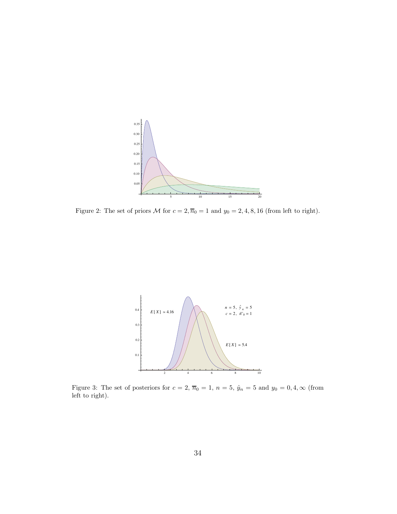

Figure 2: The set of priors  $\mathcal M$  for  $c = 2, \overline{n}_0 = 1$  and  $y_0 = 2, 4, 8, 16$  (from left to right).



Figure 3: The set of posteriors for  $c = 2$ ,  $\overline{n}_0 = 1$ ,  $n = 5$ ,  $\hat{y}_n = 5$  and  $y_0 = 0, 4, \infty$  (from left to right).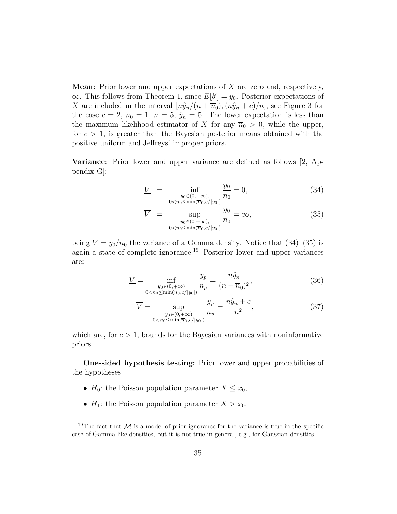Mean: Prior lower and upper expectations of X are zero and, respectively,  $\infty$ . This follows from Theorem 1, since  $E[b'] = y_0$ . Posterior expectations of X are included in the interval  $\left[n\hat{y}_n/(n+\overline{n}_0),\left(n\hat{y}_n+c\right)/n\right]$ , see Figure 3 for the case  $c = 2, \overline{n}_0 = 1, n = 5, \hat{y}_n = 5$ . The lower expectation is less than the maximum likelihood estimator of X for any  $\overline{n}_0 > 0$ , while the upper, for  $c > 1$ , is greater than the Bayesian posterior means obtained with the positive uniform and Jeffreys' improper priors.

Variance: Prior lower and upper variance are defined as follows [2, Appendix G]:

$$
\underline{V} = \inf_{\substack{y_0 \in (0, +\infty), \\ 0 < n_0 \le \min(\overline{n}_0, c/|y_0|)}} \frac{y_0}{n_0} = 0,\tag{34}
$$

$$
\overline{V} = \sup_{\substack{y_0 \in (0, +\infty), \\ 0 < n_0 \le \min(\overline{n}_0, c/|y_0|)}} \frac{y_0}{n_0} = \infty, \tag{35}
$$

being  $V = y_0/n_0$  the variance of a Gamma density. Notice that  $(34)$ – $(35)$  is again a state of complete ignorance.<sup>19</sup> Posterior lower and upper variances are:

$$
\underline{V} = \inf_{\substack{y_0 \in (0, +\infty) \\ 0 < n_0 \le \min(\overline{n}_0, c/|y_0|)}} \frac{y_p}{n_p} = \frac{n\hat{y}_n}{(n + \overline{n}_0)^2},\tag{36}
$$

$$
\overline{V} = \sup_{\substack{y_0 \in (0, +\infty) \\ 0 < n_0 \le \min(\overline{n}_0, c/\vert y_0 \vert)}} \frac{y_p}{n_p} = \frac{n\hat{y}_n + c}{n^2},\tag{37}
$$

which are, for  $c > 1$ , bounds for the Bayesian variances with noninformative priors.

One-sided hypothesis testing: Prior lower and upper probabilities of the hypotheses

- $H_0$ : the Poisson population parameter  $X \leq x_0$ ,
- $H_1$ : the Poisson population parameter  $X > x_0$ ,

<sup>&</sup>lt;sup>19</sup>The fact that M is a model of prior ignorance for the variance is true in the specific case of Gamma-like densities, but it is not true in general, e.g., for Gaussian densities.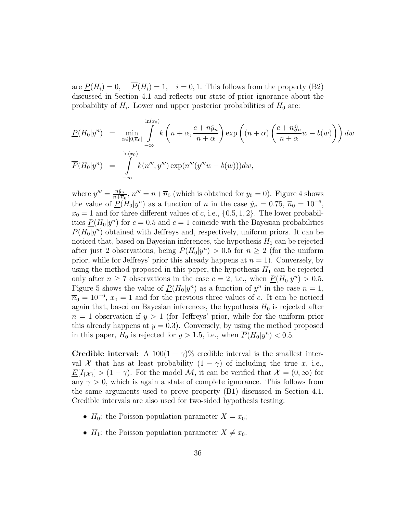are  $P(H_i) = 0$ ,  $P(H_i) = 1$ ,  $i = 0, 1$ . This follows from the property (B2) discussed in Section 4.1 and reflects our state of prior ignorance about the probability of  $H_i$ . Lower and upper posterior probabilities of  $H_0$  are:

$$
\underline{P}(H_0|y^n) = \min_{\alpha \in [0,\overline{n}_0]} \int_{-\infty}^{\ln(x_0)} k\left(n+\alpha, \frac{c+n\hat{y}_n}{n+\alpha}\right) \exp\left((n+\alpha)\left(\frac{c+n\hat{y}_n}{n+\alpha}w - b(w)\right)\right) dw
$$
  

$$
\overline{P}(H_0|y^n) = \int_{-\infty}^{\ln(x_0)} k(n''', y''') \exp(n'''(y'''w - b(w))) dw,
$$

where  $y''' = \frac{n\hat{y}_n}{n + \overline{n}}$  $\frac{n\hat{y}_n}{n+\overline{n}_0}$ ,  $n''' = n+\overline{n}_0$  (which is obtained for  $y_0 = 0$ ). Figure 4 shows the value of  $\underline{P}(H_0|y^n)$  as a function of n in the case  $\hat{y}_n = 0.75, \overline{n}_0 = 10^{-6}$ ,  $x_0 = 1$  and for three different values of c, i.e.,  $\{0.5, 1, 2\}$ . The lower probabilities  $P(H_0|y^n)$  for  $c = 0.5$  and  $c = 1$  coincide with the Bayesian probabilities  $P(H_0|y^n)$  obtained with Jeffreys and, respectively, uniform priors. It can be noticed that, based on Bayesian inferences, the hypothesis  $H_1$  can be rejected after just 2 observations, being  $P(H_0|y^n) > 0.5$  for  $n \geq 2$  (for the uniform prior, while for Jeffreys' prior this already happens at  $n = 1$ ). Conversely, by using the method proposed in this paper, the hypothesis  $H_1$  can be rejected only after  $n \ge 7$  observations in the case  $c = 2$ , i.e., when  $\underline{P}(H_0|y^n) > 0.5$ . Figure 5 shows the value of  $\underline{P}(H_0|y^n)$  as a function of  $y^n$  in the case  $n=1$ ,  $\overline{n}_0 = 10^{-6}$ ,  $x_0 = 1$  and for the previous three values of c. It can be noticed again that, based on Bayesian inferences, the hypothesis  $H_0$  is rejected after  $n = 1$  observation if  $y > 1$  (for Jeffreys' prior, while for the uniform prior this already happens at  $y = 0.3$ . Conversely, by using the method proposed in this paper,  $H_0$  is rejected for  $y > 1.5$ , i.e., when  $\overline{P}(H_0|y^n) < 0.5$ .

**Credible interval:** A 100(1 –  $\gamma$ )% credible interval is the smallest interval X that has at least probability  $(1 - \gamma)$  of including the true x, i.e.,  $\underline{E}[I_{\{\mathcal{X}\}}] > (1 - \gamma)$ . For the model M, it can be verified that  $\mathcal{X} = (0, \infty)$  for any  $\gamma > 0$ , which is again a state of complete ignorance. This follows from the same arguments used to prove property (B1) discussed in Section 4.1. Credible intervals are also used for two-sided hypothesis testing:

- $H_0$ : the Poisson population parameter  $X = x_0$ ;
- $H_1$ : the Poisson population parameter  $X \neq x_0$ .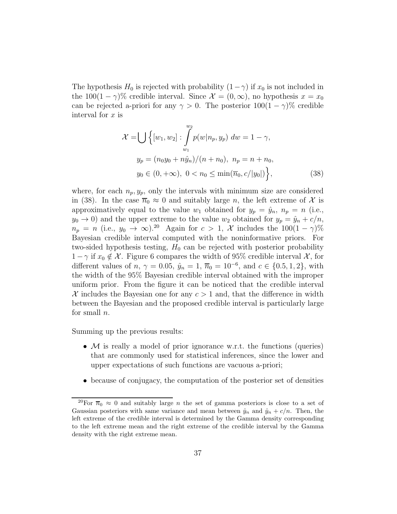The hypothesis  $H_0$  is rejected with probability  $(1-\gamma)$  if  $x_0$  is not included in the 100(1 –  $\gamma$ )% credible interval. Since  $\mathcal{X} = (0, \infty)$ , no hypothesis  $x = x_0$ can be rejected a-priori for any  $\gamma > 0$ . The posterior  $100(1 - \gamma)\%$  credible interval for  $x$  is

$$
\mathcal{X} = \bigcup \left\{ [w_1, w_2] : \int_{w_1}^{w_2} p(w | n_p, y_p) \, dw = 1 - \gamma, \right\}
$$
  

$$
y_p = (n_0 y_0 + n \hat{y}_n) / (n + n_0), \ n_p = n + n_0,
$$
  

$$
y_0 \in (0, +\infty), \ 0 < n_0 \le \min(\overline{n}_0, c / |y_0|) \right\},\tag{38}
$$

where, for each  $n_p, y_p$ , only the intervals with minimum size are considered in (38). In the case  $\overline{n}_0 \approx 0$  and suitably large n, the left extreme of X is approximatively equal to the value  $w_1$  obtained for  $y_p = \hat{y}_n$ ,  $n_p = n$  (i.e.,  $y_0 \to 0$ ) and the upper extreme to the value  $w_2$  obtained for  $y_p = \hat{y}_p + c/n$ ,  $n_p = n$  (i.e.,  $y_0 \to \infty$ ).<sup>20</sup> Again for  $c > 1$ , X includes the  $100(1 - \gamma)\%$ Bayesian credible interval computed with the noninformative priors. For two-sided hypothesis testing,  $H_0$  can be rejected with posterior probability  $1 - \gamma$  if  $x_0 \notin \mathcal{X}$ . Figure 6 compares the width of 95% credible interval  $\mathcal{X}$ , for different values of  $n, \gamma = 0.05, \hat{y}_n = 1, \overline{n}_0 = 10^{-6}$ , and  $c \in \{0.5, 1, 2\}$ , with the width of the 95% Bayesian credible interval obtained with the improper uniform prior. From the figure it can be noticed that the credible interval X includes the Bayesian one for any  $c > 1$  and, that the difference in width between the Bayesian and the proposed credible interval is particularly large for small  $n$ .

Summing up the previous results:

- $M$  is really a model of prior ignorance w.r.t. the functions (queries) that are commonly used for statistical inferences, since the lower and upper expectations of such functions are vacuous a-priori;
- because of conjugacy, the computation of the posterior set of densities

<sup>&</sup>lt;sup>20</sup>For  $\overline{n}_0 \approx 0$  and suitably large *n* the set of gamma posteriors is close to a set of Gaussian posteriors with same variance and mean between  $\hat{y}_n$  and  $\hat{y}_n + c/n$ . Then, the left extreme of the credible interval is determined by the Gamma density corresponding to the left extreme mean and the right extreme of the credible interval by the Gamma density with the right extreme mean.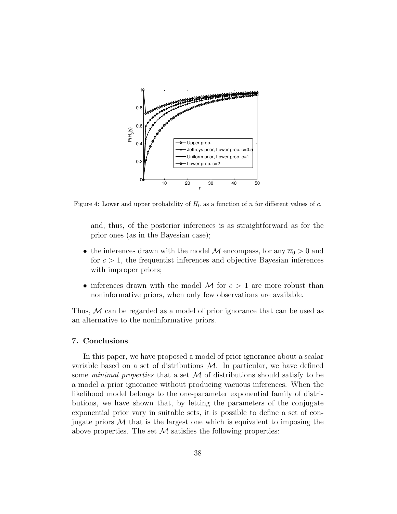

Figure 4: Lower and upper probability of  $H_0$  as a function of n for different values of c.

and, thus, of the posterior inferences is as straightforward as for the prior ones (as in the Bayesian case);

- the inferences drawn with the model  $M$  encompass, for any  $\overline{n}_0 > 0$  and for  $c > 1$ , the frequentist inferences and objective Bayesian inferences with improper priors;
- inferences drawn with the model M for  $c > 1$  are more robust than noninformative priors, when only few observations are available.

Thus, M can be regarded as a model of prior ignorance that can be used as an alternative to the noninformative priors.

## 7. Conclusions

In this paper, we have proposed a model of prior ignorance about a scalar variable based on a set of distributions  $\mathcal{M}$ . In particular, we have defined some minimal properties that a set  $\mathcal M$  of distributions should satisfy to be a model a prior ignorance without producing vacuous inferences. When the likelihood model belongs to the one-parameter exponential family of distributions, we have shown that, by letting the parameters of the conjugate exponential prior vary in suitable sets, it is possible to define a set of conjugate priors  $\mathcal M$  that is the largest one which is equivalent to imposing the above properties. The set  $M$  satisfies the following properties: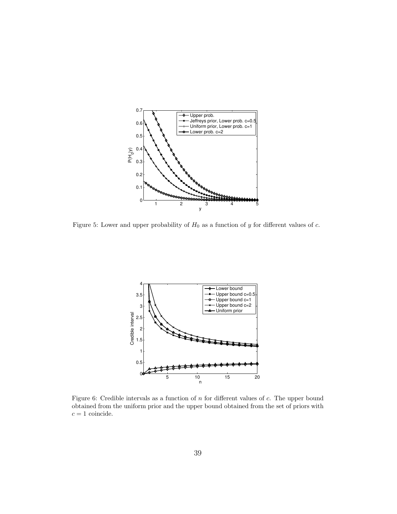

Figure 5: Lower and upper probability of  $H_0$  as a function of y for different values of c.



Figure 6: Credible intervals as a function of n for different values of c. The upper bound obtained from the uniform prior and the upper bound obtained from the set of priors with  $c=1$  coincide.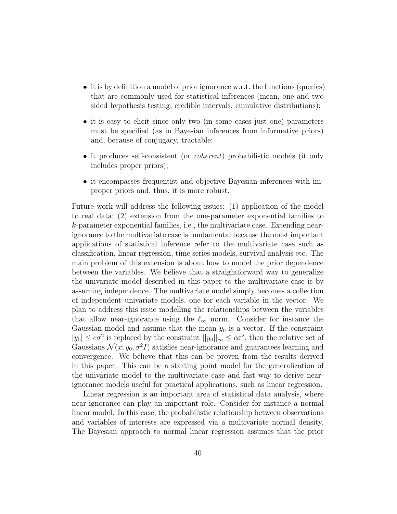- it is by definition a model of prior ignorance w.r.t. the functions (queries) that are commonly used for statistical inferences (mean, one and two sided hypothesis testing, credible intervals, cumulative distributions);
- it is easy to elicit since only two (in some cases just one) parameters must be specified (as in Bayesian inferences from informative priors) and, because of conjugacy, tractable;
- it produces self-consistent (or *coherent*) probabilistic models (it only includes proper priors);
- it encompasses frequentist and objective Bayesian inferences with improper priors and, thus, it is more robust.

Future work will address the following issues: (1) application of the model to real data; (2) extension from the one-parameter exponential families to k-parameter exponential families, i.e., the multivariate case. Extending nearignorance to the multivariate case is fundamental because the most important applications of statistical inference refer to the multivariate case such as classification, linear regression, time series models, survival analysis etc. The main problem of this extension is about how to model the prior dependence between the variables. We believe that a straightforward way to generalize the univariate model described in this paper to the multivariate case is by assuming independence. The multivariate model simply becomes a collection of independent univariate models, one for each variable in the vector. We plan to address this issue modelling the relationships between the variables that allow near-ignorance using the  $\ell_{\infty}$  norm. Consider for instance the Gaussian model and assume that the mean  $y_0$  is a vector. If the constraint  $|y_0| \leq c\sigma^2$  is replaced by the constraint  $||y_0||_{\infty} \leq c\sigma^2$ , then the relative set of Gaussians  $\mathcal{N}(x; y_0, \sigma^2 I)$  satisfies near-ignorance and guarantees learning and convergence. We believe that this can be proven from the results derived in this paper. This can be a starting point model for the generalization of the univariate model to the multivariate case and fast way to derive nearignorance models useful for practical applications, such as linear regression.

Linear regression is an important area of statistical data analysis, where near-ignorance can play an important role. Consider for instance a normal linear model. In this case, the probabilistic relationship between observations and variables of interests are expressed via a multivariate normal density. The Bayesian approach to normal linear regression assumes that the prior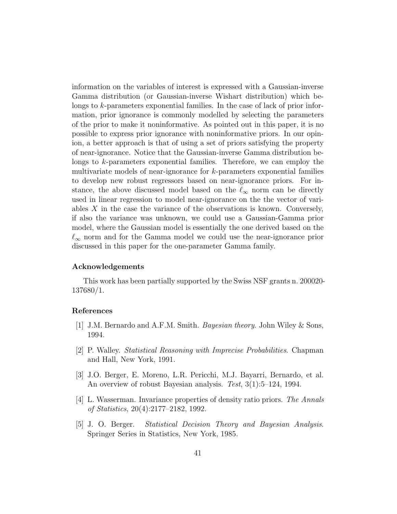information on the variables of interest is expressed with a Gaussian-inverse Gamma distribution (or Gaussian-inverse Wishart distribution) which belongs to k-parameters exponential families. In the case of lack of prior information, prior ignorance is commonly modelled by selecting the parameters of the prior to make it noninformative. As pointed out in this paper, it is no possible to express prior ignorance with noninformative priors. In our opinion, a better approach is that of using a set of priors satisfying the property of near-ignorance. Notice that the Gaussian-inverse Gamma distribution belongs to k-parameters exponential families. Therefore, we can employ the multivariate models of near-ignorance for k-parameters exponential families to develop new robust regressors based on near-ignorance priors. For instance, the above discussed model based on the  $\ell_{\infty}$  norm can be directly used in linear regression to model near-ignorance on the the vector of variables  $X$  in the case the variance of the observations is known. Conversely, if also the variance was unknown, we could use a Gaussian-Gamma prior model, where the Gaussian model is essentially the one derived based on the  $\ell_{\infty}$  norm and for the Gamma model we could use the near-ignorance prior discussed in this paper for the one-parameter Gamma family.

## Acknowledgements

This work has been partially supported by the Swiss NSF grants n. 200020- 137680/1.

#### References

- [1] J.M. Bernardo and A.F.M. Smith. Bayesian theory. John Wiley & Sons, 1994.
- [2] P. Walley. Statistical Reasoning with Imprecise Probabilities. Chapman and Hall, New York, 1991.
- [3] J.O. Berger, E. Moreno, L.R. Pericchi, M.J. Bayarri, Bernardo, et al. An overview of robust Bayesian analysis. Test, 3(1):5–124, 1994.
- [4] L. Wasserman. Invariance properties of density ratio priors. The Annals of Statistics, 20(4):2177–2182, 1992.
- [5] J. O. Berger. Statistical Decision Theory and Bayesian Analysis. Springer Series in Statistics, New York, 1985.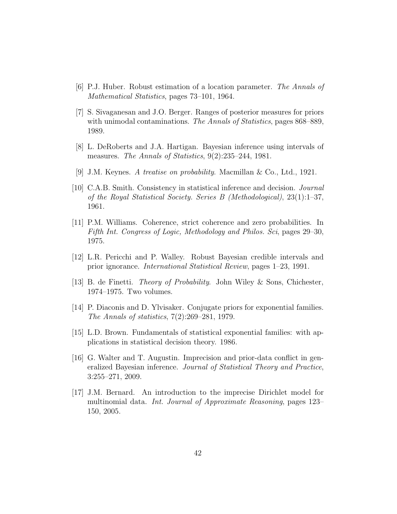- [6] P.J. Huber. Robust estimation of a location parameter. The Annals of Mathematical Statistics, pages 73–101, 1964.
- [7] S. Sivaganesan and J.O. Berger. Ranges of posterior measures for priors with unimodal contaminations. The Annals of Statistics, pages 868–889, 1989.
- [8] L. DeRoberts and J.A. Hartigan. Bayesian inference using intervals of measures. The Annals of Statistics, 9(2):235–244, 1981.
- [9] J.M. Keynes. A treatise on probability. Macmillan & Co., Ltd., 1921.
- [10] C.A.B. Smith. Consistency in statistical inference and decision. Journal of the Royal Statistical Society. Series B (Methodological), 23(1):1–37, 1961.
- [11] P.M. Williams. Coherence, strict coherence and zero probabilities. In Fifth Int. Congress of Logic, Methodology and Philos. Sci, pages 29–30, 1975.
- [12] L.R. Pericchi and P. Walley. Robust Bayesian credible intervals and prior ignorance. International Statistical Review, pages 1–23, 1991.
- [13] B. de Finetti. Theory of Probability. John Wiley & Sons, Chichester, 1974–1975. Two volumes.
- [14] P. Diaconis and D. Ylvisaker. Conjugate priors for exponential families. The Annals of statistics, 7(2):269–281, 1979.
- [15] L.D. Brown. Fundamentals of statistical exponential families: with applications in statistical decision theory. 1986.
- [16] G. Walter and T. Augustin. Imprecision and prior-data conflict in generalized Bayesian inference. Journal of Statistical Theory and Practice, 3:255–271, 2009.
- [17] J.M. Bernard. An introduction to the imprecise Dirichlet model for multinomial data. Int. Journal of Approximate Reasoning, pages 123– 150, 2005.